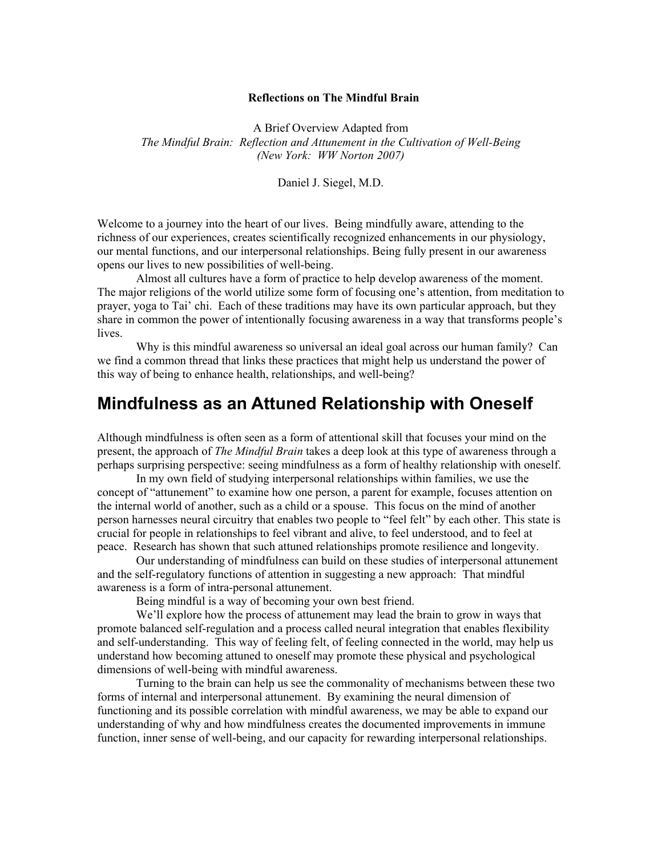#### **Reflections on The Mindful Brain**

A Brief Overview Adapted from *The Mindful Brain: Reflection and Attunement in the Cultivation of Well-Being (New York: WW Norton 2007)*

Daniel J. Siegel, M.D.

Welcome to a journey into the heart of our lives. Being mindfully aware, attending to the richness of our experiences, creates scientifically recognized enhancements in our physiology, our mental functions, and our interpersonal relationships. Being fully present in our awareness opens our lives to new possibilities of well-being.

Almost all cultures have a form of practice to help develop awareness of the moment. The major religions of the world utilize some form of focusing one's attention, from meditation to prayer, yoga to Tai' chi. Each of these traditions may have its own particular approach, but they share in common the power of intentionally focusing awareness in a way that transforms people's lives.

Why is this mindful awareness so universal an ideal goal across our human family? Can we find a common thread that links these practices that might help us understand the power of this way of being to enhance health, relationships, and well-being?

## **Mindfulness as an Attuned Relationship with Oneself**

Although mindfulness is often seen as a form of attentional skill that focuses your mind on the present, the approach of *The Mindful Brain* takes a deep look at this type of awareness through a perhaps surprising perspective: seeing mindfulness as a form of healthy relationship with oneself.

In my own field of studying interpersonal relationships within families, we use the concept of "attunement" to examine how one person, a parent for example, focuses attention on the internal world of another, such as a child or a spouse. This focus on the mind of another person harnesses neural circuitry that enables two people to "feel felt" by each other. This state is crucial for people in relationships to feel vibrant and alive, to feel understood, and to feel at peace. Research has shown that such attuned relationships promote resilience and longevity.

Our understanding of mindfulness can build on these studies of interpersonal attunement and the self-regulatory functions of attention in suggesting a new approach: That mindful awareness is a form of intra-personal attunement.

Being mindful is a way of becoming your own best friend.

We'll explore how the process of attunement may lead the brain to grow in ways that promote balanced self-regulation and a process called neural integration that enables flexibility and self-understanding. This way of feeling felt, of feeling connected in the world, may help us understand how becoming attuned to oneself may promote these physical and psychological dimensions of well-being with mindful awareness.

Turning to the brain can help us see the commonality of mechanisms between these two forms of internal and interpersonal attunement. By examining the neural dimension of functioning and its possible correlation with mindful awareness, we may be able to expand our understanding of why and how mindfulness creates the documented improvements in immune function, inner sense of well-being, and our capacity for rewarding interpersonal relationships.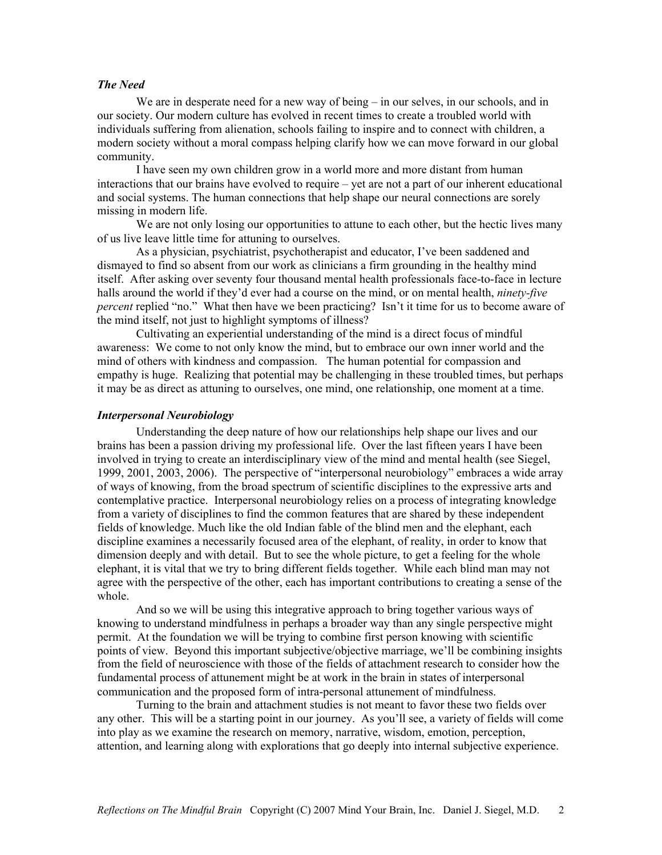### *The Need*

We are in desperate need for a new way of being – in our selves, in our schools, and in our society. Our modern culture has evolved in recent times to create a troubled world with individuals suffering from alienation, schools failing to inspire and to connect with children, a modern society without a moral compass helping clarify how we can move forward in our global community.

I have seen my own children grow in a world more and more distant from human interactions that our brains have evolved to require – yet are not a part of our inherent educational and social systems. The human connections that help shape our neural connections are sorely missing in modern life.

We are not only losing our opportunities to attune to each other, but the hectic lives many of us live leave little time for attuning to ourselves.

As a physician, psychiatrist, psychotherapist and educator, I've been saddened and dismayed to find so absent from our work as clinicians a firm grounding in the healthy mind itself. After asking over seventy four thousand mental health professionals face-to-face in lecture halls around the world if they'd ever had a course on the mind, or on mental health, *ninety-five percent* replied "no." What then have we been practicing? Isn't it time for us to become aware of the mind itself, not just to highlight symptoms of illness?

Cultivating an experiential understanding of the mind is a direct focus of mindful awareness: We come to not only know the mind, but to embrace our own inner world and the mind of others with kindness and compassion. The human potential for compassion and empathy is huge. Realizing that potential may be challenging in these troubled times, but perhaps it may be as direct as attuning to ourselves, one mind, one relationship, one moment at a time.

### *Interpersonal Neurobiology*

Understanding the deep nature of how our relationships help shape our lives and our brains has been a passion driving my professional life. Over the last fifteen years I have been involved in trying to create an interdisciplinary view of the mind and mental health (see Siegel, 1999, 2001, 2003, 2006). The perspective of "interpersonal neurobiology" embraces a wide array of ways of knowing, from the broad spectrum of scientific disciplines to the expressive arts and contemplative practice. Interpersonal neurobiology relies on a process of integrating knowledge from a variety of disciplines to find the common features that are shared by these independent fields of knowledge. Much like the old Indian fable of the blind men and the elephant, each discipline examines a necessarily focused area of the elephant, of reality, in order to know that dimension deeply and with detail. But to see the whole picture, to get a feeling for the whole elephant, it is vital that we try to bring different fields together. While each blind man may not agree with the perspective of the other, each has important contributions to creating a sense of the whole.

And so we will be using this integrative approach to bring together various ways of knowing to understand mindfulness in perhaps a broader way than any single perspective might permit. At the foundation we will be trying to combine first person knowing with scientific points of view. Beyond this important subjective/objective marriage, we'll be combining insights from the field of neuroscience with those of the fields of attachment research to consider how the fundamental process of attunement might be at work in the brain in states of interpersonal communication and the proposed form of intra-personal attunement of mindfulness.

Turning to the brain and attachment studies is not meant to favor these two fields over any other. This will be a starting point in our journey. As you'll see, a variety of fields will come into play as we examine the research on memory, narrative, wisdom, emotion, perception, attention, and learning along with explorations that go deeply into internal subjective experience.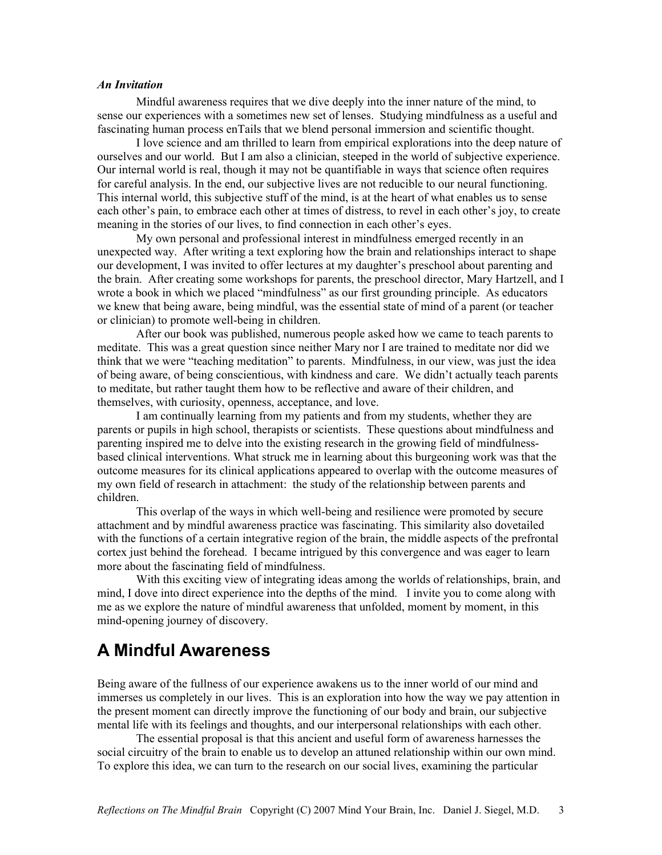### *An Invitation*

Mindful awareness requires that we dive deeply into the inner nature of the mind, to sense our experiences with a sometimes new set of lenses. Studying mindfulness as a useful and fascinating human process enTails that we blend personal immersion and scientific thought.

I love science and am thrilled to learn from empirical explorations into the deep nature of ourselves and our world. But I am also a clinician, steeped in the world of subjective experience. Our internal world is real, though it may not be quantifiable in ways that science often requires for careful analysis. In the end, our subjective lives are not reducible to our neural functioning. This internal world, this subjective stuff of the mind, is at the heart of what enables us to sense each other's pain, to embrace each other at times of distress, to revel in each other's joy, to create meaning in the stories of our lives, to find connection in each other's eyes.

My own personal and professional interest in mindfulness emerged recently in an unexpected way. After writing a text exploring how the brain and relationships interact to shape our development, I was invited to offer lectures at my daughter's preschool about parenting and the brain. After creating some workshops for parents, the preschool director, Mary Hartzell, and I wrote a book in which we placed "mindfulness" as our first grounding principle. As educators we knew that being aware, being mindful, was the essential state of mind of a parent (or teacher or clinician) to promote well-being in children.

After our book was published, numerous people asked how we came to teach parents to meditate. This was a great question since neither Mary nor I are trained to meditate nor did we think that we were "teaching meditation" to parents. Mindfulness, in our view, was just the idea of being aware, of being conscientious, with kindness and care. We didn't actually teach parents to meditate, but rather taught them how to be reflective and aware of their children, and themselves, with curiosity, openness, acceptance, and love.

I am continually learning from my patients and from my students, whether they are parents or pupils in high school, therapists or scientists. These questions about mindfulness and parenting inspired me to delve into the existing research in the growing field of mindfulnessbased clinical interventions. What struck me in learning about this burgeoning work was that the outcome measures for its clinical applications appeared to overlap with the outcome measures of my own field of research in attachment: the study of the relationship between parents and children.

This overlap of the ways in which well-being and resilience were promoted by secure attachment and by mindful awareness practice was fascinating. This similarity also dovetailed with the functions of a certain integrative region of the brain, the middle aspects of the prefrontal cortex just behind the forehead. I became intrigued by this convergence and was eager to learn more about the fascinating field of mindfulness.

With this exciting view of integrating ideas among the worlds of relationships, brain, and mind, I dove into direct experience into the depths of the mind. I invite you to come along with me as we explore the nature of mindful awareness that unfolded, moment by moment, in this mind-opening journey of discovery.

## **A Mindful Awareness**

Being aware of the fullness of our experience awakens us to the inner world of our mind and immerses us completely in our lives. This is an exploration into how the way we pay attention in the present moment can directly improve the functioning of our body and brain, our subjective mental life with its feelings and thoughts, and our interpersonal relationships with each other.

The essential proposal is that this ancient and useful form of awareness harnesses the social circuitry of the brain to enable us to develop an attuned relationship within our own mind. To explore this idea, we can turn to the research on our social lives, examining the particular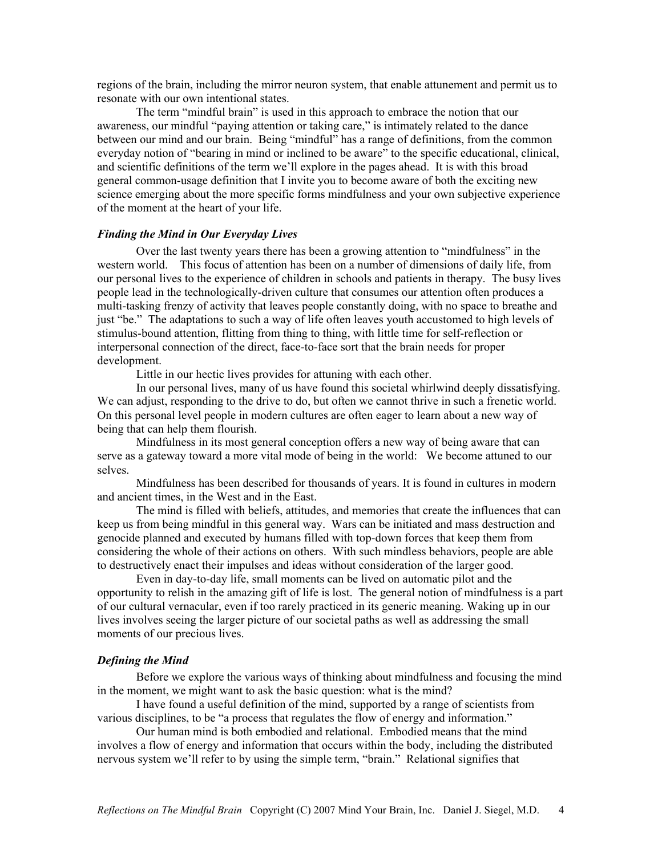regions of the brain, including the mirror neuron system, that enable attunement and permit us to resonate with our own intentional states.

The term "mindful brain" is used in this approach to embrace the notion that our awareness, our mindful "paying attention or taking care," is intimately related to the dance between our mind and our brain. Being "mindful" has a range of definitions, from the common everyday notion of "bearing in mind or inclined to be aware" to the specific educational, clinical, and scientific definitions of the term we'll explore in the pages ahead. It is with this broad general common-usage definition that I invite you to become aware of both the exciting new science emerging about the more specific forms mindfulness and your own subjective experience of the moment at the heart of your life.

### *Finding the Mind in Our Everyday Lives*

Over the last twenty years there has been a growing attention to "mindfulness" in the western world. This focus of attention has been on a number of dimensions of daily life, from our personal lives to the experience of children in schools and patients in therapy. The busy lives people lead in the technologically-driven culture that consumes our attention often produces a multi-tasking frenzy of activity that leaves people constantly doing, with no space to breathe and just "be." The adaptations to such a way of life often leaves youth accustomed to high levels of stimulus-bound attention, flitting from thing to thing, with little time for self-reflection or interpersonal connection of the direct, face-to-face sort that the brain needs for proper development.

Little in our hectic lives provides for attuning with each other.

In our personal lives, many of us have found this societal whirlwind deeply dissatisfying. We can adjust, responding to the drive to do, but often we cannot thrive in such a frenetic world. On this personal level people in modern cultures are often eager to learn about a new way of being that can help them flourish.

Mindfulness in its most general conception offers a new way of being aware that can serve as a gateway toward a more vital mode of being in the world: We become attuned to our selves.

Mindfulness has been described for thousands of years. It is found in cultures in modern and ancient times, in the West and in the East.

The mind is filled with beliefs, attitudes, and memories that create the influences that can keep us from being mindful in this general way. Wars can be initiated and mass destruction and genocide planned and executed by humans filled with top-down forces that keep them from considering the whole of their actions on others. With such mindless behaviors, people are able to destructively enact their impulses and ideas without consideration of the larger good.

Even in day-to-day life, small moments can be lived on automatic pilot and the opportunity to relish in the amazing gift of life is lost. The general notion of mindfulness is a part of our cultural vernacular, even if too rarely practiced in its generic meaning. Waking up in our lives involves seeing the larger picture of our societal paths as well as addressing the small moments of our precious lives.

#### *Defining the Mind*

Before we explore the various ways of thinking about mindfulness and focusing the mind in the moment, we might want to ask the basic question: what is the mind?

I have found a useful definition of the mind, supported by a range of scientists from various disciplines, to be "a process that regulates the flow of energy and information."

Our human mind is both embodied and relational. Embodied means that the mind involves a flow of energy and information that occurs within the body, including the distributed nervous system we'll refer to by using the simple term, "brain." Relational signifies that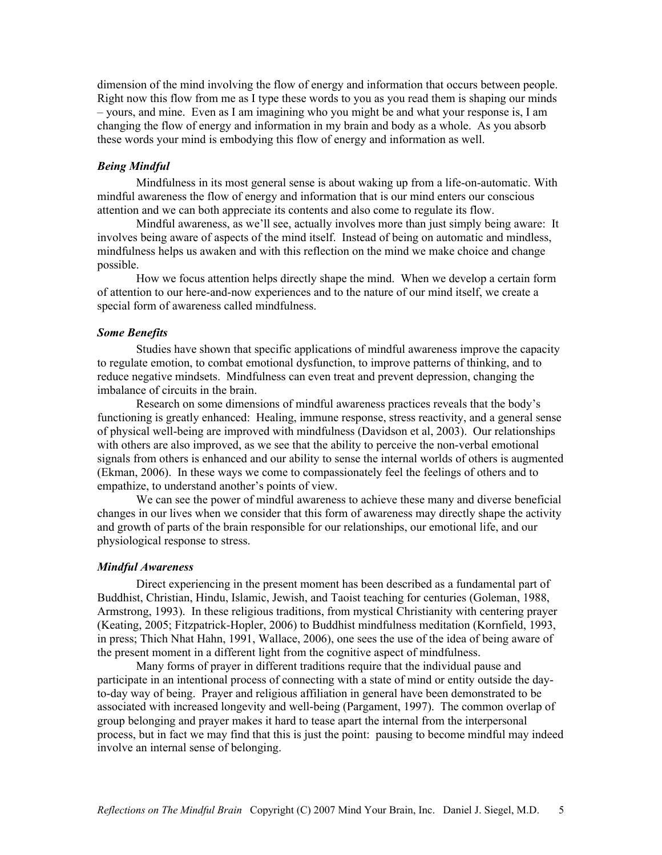dimension of the mind involving the flow of energy and information that occurs between people. Right now this flow from me as I type these words to you as you read them is shaping our minds – yours, and mine. Even as I am imagining who you might be and what your response is, I am changing the flow of energy and information in my brain and body as a whole. As you absorb these words your mind is embodying this flow of energy and information as well.

## *Being Mindful*

Mindfulness in its most general sense is about waking up from a life-on-automatic. With mindful awareness the flow of energy and information that is our mind enters our conscious attention and we can both appreciate its contents and also come to regulate its flow.

Mindful awareness, as we'll see, actually involves more than just simply being aware: It involves being aware of aspects of the mind itself. Instead of being on automatic and mindless, mindfulness helps us awaken and with this reflection on the mind we make choice and change possible.

How we focus attention helps directly shape the mind. When we develop a certain form of attention to our here-and-now experiences and to the nature of our mind itself, we create a special form of awareness called mindfulness.

### *Some Benefits*

Studies have shown that specific applications of mindful awareness improve the capacity to regulate emotion, to combat emotional dysfunction, to improve patterns of thinking, and to reduce negative mindsets. Mindfulness can even treat and prevent depression, changing the imbalance of circuits in the brain.

Research on some dimensions of mindful awareness practices reveals that the body's functioning is greatly enhanced: Healing, immune response, stress reactivity, and a general sense of physical well-being are improved with mindfulness (Davidson et al, 2003). Our relationships with others are also improved, as we see that the ability to perceive the non-verbal emotional signals from others is enhanced and our ability to sense the internal worlds of others is augmented (Ekman, 2006). In these ways we come to compassionately feel the feelings of others and to empathize, to understand another's points of view.

We can see the power of mindful awareness to achieve these many and diverse beneficial changes in our lives when we consider that this form of awareness may directly shape the activity and growth of parts of the brain responsible for our relationships, our emotional life, and our physiological response to stress.

#### *Mindful Awareness*

Direct experiencing in the present moment has been described as a fundamental part of Buddhist, Christian, Hindu, Islamic, Jewish, and Taoist teaching for centuries (Goleman, 1988, Armstrong, 1993). In these religious traditions, from mystical Christianity with centering prayer (Keating, 2005; Fitzpatrick-Hopler, 2006) to Buddhist mindfulness meditation (Kornfield, 1993, in press; Thich Nhat Hahn, 1991, Wallace, 2006), one sees the use of the idea of being aware of the present moment in a different light from the cognitive aspect of mindfulness.

Many forms of prayer in different traditions require that the individual pause and participate in an intentional process of connecting with a state of mind or entity outside the dayto-day way of being. Prayer and religious affiliation in general have been demonstrated to be associated with increased longevity and well-being (Pargament, 1997). The common overlap of group belonging and prayer makes it hard to tease apart the internal from the interpersonal process, but in fact we may find that this is just the point: pausing to become mindful may indeed involve an internal sense of belonging.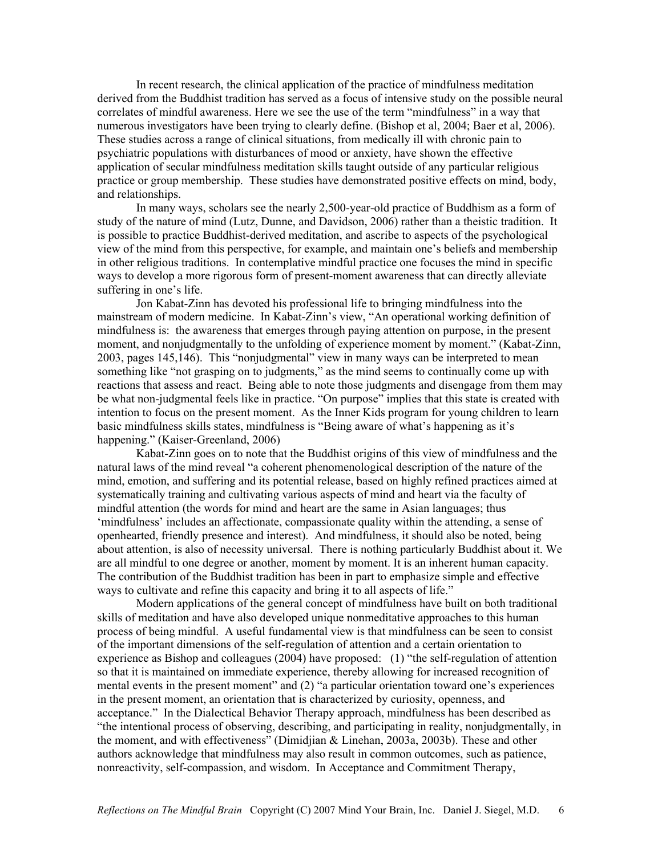In recent research, the clinical application of the practice of mindfulness meditation derived from the Buddhist tradition has served as a focus of intensive study on the possible neural correlates of mindful awareness. Here we see the use of the term "mindfulness" in a way that numerous investigators have been trying to clearly define. (Bishop et al, 2004; Baer et al, 2006). These studies across a range of clinical situations, from medically ill with chronic pain to psychiatric populations with disturbances of mood or anxiety, have shown the effective application of secular mindfulness meditation skills taught outside of any particular religious practice or group membership. These studies have demonstrated positive effects on mind, body, and relationships.

In many ways, scholars see the nearly 2,500-year-old practice of Buddhism as a form of study of the nature of mind (Lutz, Dunne, and Davidson, 2006) rather than a theistic tradition. It is possible to practice Buddhist-derived meditation, and ascribe to aspects of the psychological view of the mind from this perspective, for example, and maintain one's beliefs and membership in other religious traditions. In contemplative mindful practice one focuses the mind in specific ways to develop a more rigorous form of present-moment awareness that can directly alleviate suffering in one's life.

Jon Kabat-Zinn has devoted his professional life to bringing mindfulness into the mainstream of modern medicine. In Kabat-Zinn's view, "An operational working definition of mindfulness is: the awareness that emerges through paying attention on purpose, in the present moment, and nonjudgmentally to the unfolding of experience moment by moment." (Kabat-Zinn, 2003, pages 145,146). This "nonjudgmental" view in many ways can be interpreted to mean something like "not grasping on to judgments," as the mind seems to continually come up with reactions that assess and react. Being able to note those judgments and disengage from them may be what non-judgmental feels like in practice. "On purpose" implies that this state is created with intention to focus on the present moment. As the Inner Kids program for young children to learn basic mindfulness skills states, mindfulness is "Being aware of what's happening as it's happening." (Kaiser-Greenland, 2006)

Kabat-Zinn goes on to note that the Buddhist origins of this view of mindfulness and the natural laws of the mind reveal "a coherent phenomenological description of the nature of the mind, emotion, and suffering and its potential release, based on highly refined practices aimed at systematically training and cultivating various aspects of mind and heart via the faculty of mindful attention (the words for mind and heart are the same in Asian languages; thus 'mindfulness' includes an affectionate, compassionate quality within the attending, a sense of openhearted, friendly presence and interest). And mindfulness, it should also be noted, being about attention, is also of necessity universal. There is nothing particularly Buddhist about it. We are all mindful to one degree or another, moment by moment. It is an inherent human capacity. The contribution of the Buddhist tradition has been in part to emphasize simple and effective ways to cultivate and refine this capacity and bring it to all aspects of life."

Modern applications of the general concept of mindfulness have built on both traditional skills of meditation and have also developed unique nonmeditative approaches to this human process of being mindful. A useful fundamental view is that mindfulness can be seen to consist of the important dimensions of the self-regulation of attention and a certain orientation to experience as Bishop and colleagues (2004) have proposed: (1) "the self-regulation of attention so that it is maintained on immediate experience, thereby allowing for increased recognition of mental events in the present moment" and (2) "a particular orientation toward one's experiences in the present moment, an orientation that is characterized by curiosity, openness, and acceptance." In the Dialectical Behavior Therapy approach, mindfulness has been described as "the intentional process of observing, describing, and participating in reality, nonjudgmentally, in the moment, and with effectiveness" (Dimidjian & Linehan, 2003a, 2003b). These and other authors acknowledge that mindfulness may also result in common outcomes, such as patience, nonreactivity, self-compassion, and wisdom. In Acceptance and Commitment Therapy,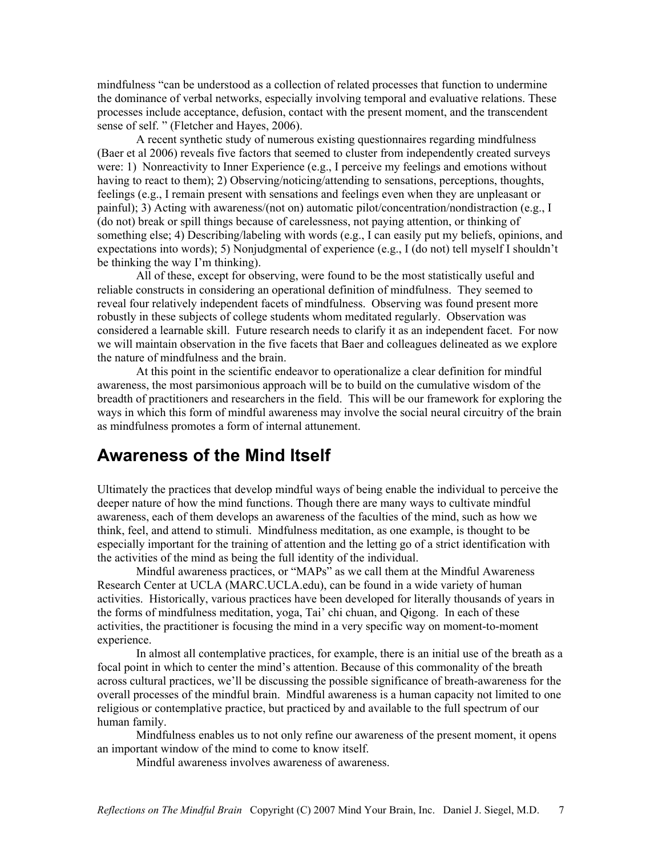mindfulness "can be understood as a collection of related processes that function to undermine the dominance of verbal networks, especially involving temporal and evaluative relations. These processes include acceptance, defusion, contact with the present moment, and the transcendent sense of self. " (Fletcher and Hayes, 2006).

A recent synthetic study of numerous existing questionnaires regarding mindfulness (Baer et al 2006) reveals five factors that seemed to cluster from independently created surveys were: 1) Nonreactivity to Inner Experience (e.g., I perceive my feelings and emotions without having to react to them); 2) Observing/noticing/attending to sensations, perceptions, thoughts, feelings (e.g., I remain present with sensations and feelings even when they are unpleasant or painful); 3) Acting with awareness/(not on) automatic pilot/concentration/nondistraction (e.g., I (do not) break or spill things because of carelessness, not paying attention, or thinking of something else; 4) Describing/labeling with words (e.g., I can easily put my beliefs, opinions, and expectations into words); 5) Nonjudgmental of experience (e.g., I (do not) tell myself I shouldn't be thinking the way I'm thinking).

All of these, except for observing, were found to be the most statistically useful and reliable constructs in considering an operational definition of mindfulness. They seemed to reveal four relatively independent facets of mindfulness. Observing was found present more robustly in these subjects of college students whom meditated regularly. Observation was considered a learnable skill. Future research needs to clarify it as an independent facet. For now we will maintain observation in the five facets that Baer and colleagues delineated as we explore the nature of mindfulness and the brain.

At this point in the scientific endeavor to operationalize a clear definition for mindful awareness, the most parsimonious approach will be to build on the cumulative wisdom of the breadth of practitioners and researchers in the field. This will be our framework for exploring the ways in which this form of mindful awareness may involve the social neural circuitry of the brain as mindfulness promotes a form of internal attunement.

## **Awareness of the Mind Itself**

Ultimately the practices that develop mindful ways of being enable the individual to perceive the deeper nature of how the mind functions. Though there are many ways to cultivate mindful awareness, each of them develops an awareness of the faculties of the mind, such as how we think, feel, and attend to stimuli. Mindfulness meditation, as one example, is thought to be especially important for the training of attention and the letting go of a strict identification with the activities of the mind as being the full identity of the individual.

Mindful awareness practices, or "MAPs" as we call them at the Mindful Awareness Research Center at UCLA (MARC.UCLA.edu), can be found in a wide variety of human activities. Historically, various practices have been developed for literally thousands of years in the forms of mindfulness meditation, yoga, Tai' chi chuan, and Qigong. In each of these activities, the practitioner is focusing the mind in a very specific way on moment-to-moment experience.

In almost all contemplative practices, for example, there is an initial use of the breath as a focal point in which to center the mind's attention. Because of this commonality of the breath across cultural practices, we'll be discussing the possible significance of breath-awareness for the overall processes of the mindful brain. Mindful awareness is a human capacity not limited to one religious or contemplative practice, but practiced by and available to the full spectrum of our human family.

Mindfulness enables us to not only refine our awareness of the present moment, it opens an important window of the mind to come to know itself.

Mindful awareness involves awareness of awareness.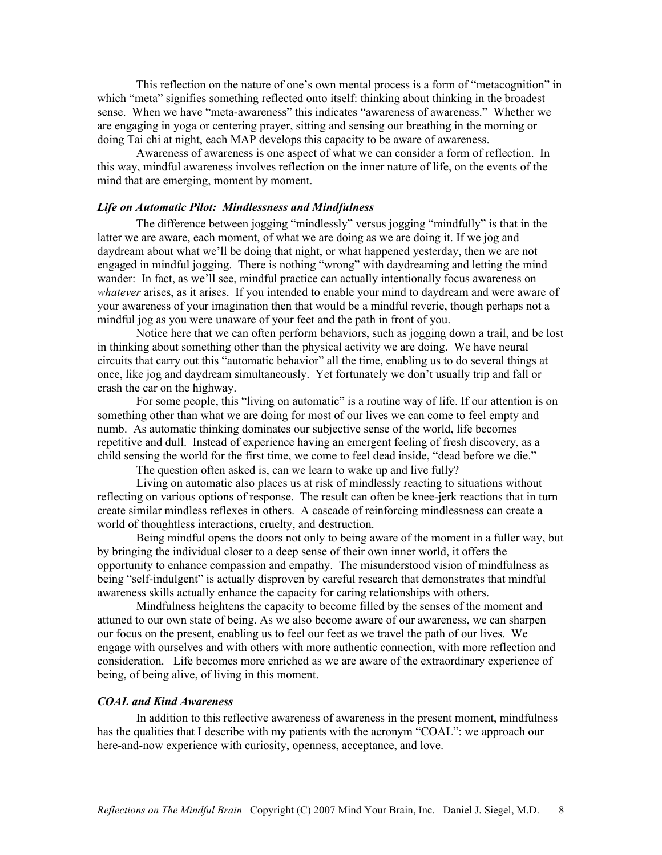This reflection on the nature of one's own mental process is a form of "metacognition" in which "meta" signifies something reflected onto itself: thinking about thinking in the broadest sense. When we have "meta-awareness" this indicates "awareness of awareness." Whether we are engaging in yoga or centering prayer, sitting and sensing our breathing in the morning or doing Tai chi at night, each MAP develops this capacity to be aware of awareness.

Awareness of awareness is one aspect of what we can consider a form of reflection. In this way, mindful awareness involves reflection on the inner nature of life, on the events of the mind that are emerging, moment by moment.

### *Life on Automatic Pilot: Mindlessness and Mindfulness*

The difference between jogging "mindlessly" versus jogging "mindfully" is that in the latter we are aware, each moment, of what we are doing as we are doing it. If we jog and daydream about what we'll be doing that night, or what happened yesterday, then we are not engaged in mindful jogging. There is nothing "wrong" with daydreaming and letting the mind wander: In fact, as we'll see, mindful practice can actually intentionally focus awareness on *whatever* arises, as it arises. If you intended to enable your mind to daydream and were aware of your awareness of your imagination then that would be a mindful reverie, though perhaps not a mindful jog as you were unaware of your feet and the path in front of you.

Notice here that we can often perform behaviors, such as jogging down a trail, and be lost in thinking about something other than the physical activity we are doing. We have neural circuits that carry out this "automatic behavior" all the time, enabling us to do several things at once, like jog and daydream simultaneously. Yet fortunately we don't usually trip and fall or crash the car on the highway.

For some people, this "living on automatic" is a routine way of life. If our attention is on something other than what we are doing for most of our lives we can come to feel empty and numb. As automatic thinking dominates our subjective sense of the world, life becomes repetitive and dull. Instead of experience having an emergent feeling of fresh discovery, as a child sensing the world for the first time, we come to feel dead inside, "dead before we die."

The question often asked is, can we learn to wake up and live fully?

Living on automatic also places us at risk of mindlessly reacting to situations without reflecting on various options of response. The result can often be knee-jerk reactions that in turn create similar mindless reflexes in others. A cascade of reinforcing mindlessness can create a world of thoughtless interactions, cruelty, and destruction.

Being mindful opens the doors not only to being aware of the moment in a fuller way, but by bringing the individual closer to a deep sense of their own inner world, it offers the opportunity to enhance compassion and empathy. The misunderstood vision of mindfulness as being "self-indulgent" is actually disproven by careful research that demonstrates that mindful awareness skills actually enhance the capacity for caring relationships with others.

Mindfulness heightens the capacity to become filled by the senses of the moment and attuned to our own state of being. As we also become aware of our awareness, we can sharpen our focus on the present, enabling us to feel our feet as we travel the path of our lives. We engage with ourselves and with others with more authentic connection, with more reflection and consideration. Life becomes more enriched as we are aware of the extraordinary experience of being, of being alive, of living in this moment.

### *COAL and Kind Awareness*

In addition to this reflective awareness of awareness in the present moment, mindfulness has the qualities that I describe with my patients with the acronym "COAL": we approach our here-and-now experience with curiosity, openness, acceptance, and love.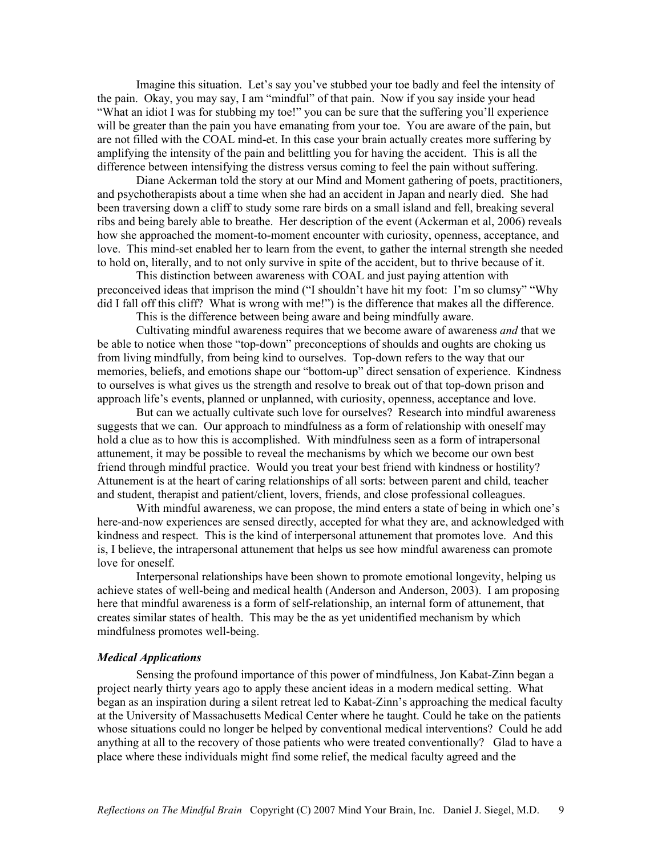Imagine this situation. Let's say you've stubbed your toe badly and feel the intensity of the pain. Okay, you may say, I am "mindful" of that pain. Now if you say inside your head "What an idiot I was for stubbing my toe!" you can be sure that the suffering you'll experience will be greater than the pain you have emanating from your toe. You are aware of the pain, but are not filled with the COAL mind-et. In this case your brain actually creates more suffering by amplifying the intensity of the pain and belittling you for having the accident. This is all the difference between intensifying the distress versus coming to feel the pain without suffering.

Diane Ackerman told the story at our Mind and Moment gathering of poets, practitioners, and psychotherapists about a time when she had an accident in Japan and nearly died. She had been traversing down a cliff to study some rare birds on a small island and fell, breaking several ribs and being barely able to breathe. Her description of the event (Ackerman et al, 2006) reveals how she approached the moment-to-moment encounter with curiosity, openness, acceptance, and love. This mind-set enabled her to learn from the event, to gather the internal strength she needed to hold on, literally, and to not only survive in spite of the accident, but to thrive because of it.

This distinction between awareness with COAL and just paying attention with preconceived ideas that imprison the mind ("I shouldn't have hit my foot: I'm so clumsy" "Why did I fall off this cliff? What is wrong with me!") is the difference that makes all the difference.

This is the difference between being aware and being mindfully aware.

Cultivating mindful awareness requires that we become aware of awareness *and* that we be able to notice when those "top-down" preconceptions of shoulds and oughts are choking us from living mindfully, from being kind to ourselves. Top-down refers to the way that our memories, beliefs, and emotions shape our "bottom-up" direct sensation of experience. Kindness to ourselves is what gives us the strength and resolve to break out of that top-down prison and approach life's events, planned or unplanned, with curiosity, openness, acceptance and love.

But can we actually cultivate such love for ourselves? Research into mindful awareness suggests that we can. Our approach to mindfulness as a form of relationship with oneself may hold a clue as to how this is accomplished. With mindfulness seen as a form of intrapersonal attunement, it may be possible to reveal the mechanisms by which we become our own best friend through mindful practice. Would you treat your best friend with kindness or hostility? Attunement is at the heart of caring relationships of all sorts: between parent and child, teacher and student, therapist and patient/client, lovers, friends, and close professional colleagues.

With mindful awareness, we can propose, the mind enters a state of being in which one's here-and-now experiences are sensed directly, accepted for what they are, and acknowledged with kindness and respect. This is the kind of interpersonal attunement that promotes love. And this is, I believe, the intrapersonal attunement that helps us see how mindful awareness can promote love for oneself.

Interpersonal relationships have been shown to promote emotional longevity, helping us achieve states of well-being and medical health (Anderson and Anderson, 2003). I am proposing here that mindful awareness is a form of self-relationship, an internal form of attunement, that creates similar states of health. This may be the as yet unidentified mechanism by which mindfulness promotes well-being.

#### *Medical Applications*

Sensing the profound importance of this power of mindfulness, Jon Kabat-Zinn began a project nearly thirty years ago to apply these ancient ideas in a modern medical setting. What began as an inspiration during a silent retreat led to Kabat-Zinn's approaching the medical faculty at the University of Massachusetts Medical Center where he taught. Could he take on the patients whose situations could no longer be helped by conventional medical interventions? Could he add anything at all to the recovery of those patients who were treated conventionally? Glad to have a place where these individuals might find some relief, the medical faculty agreed and the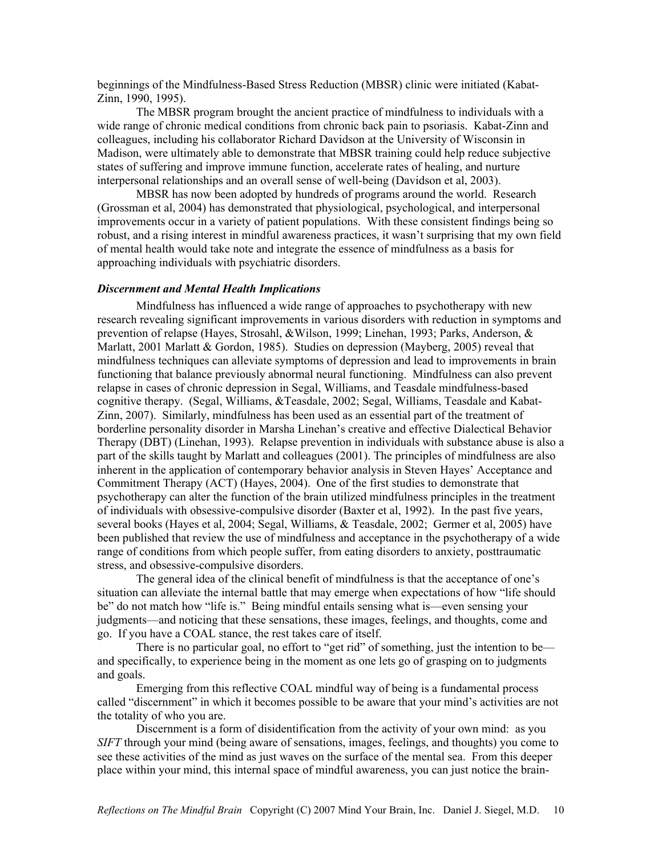beginnings of the Mindfulness-Based Stress Reduction (MBSR) clinic were initiated (Kabat-Zinn, 1990, 1995).

The MBSR program brought the ancient practice of mindfulness to individuals with a wide range of chronic medical conditions from chronic back pain to psoriasis. Kabat-Zinn and colleagues, including his collaborator Richard Davidson at the University of Wisconsin in Madison, were ultimately able to demonstrate that MBSR training could help reduce subjective states of suffering and improve immune function, accelerate rates of healing, and nurture interpersonal relationships and an overall sense of well-being (Davidson et al, 2003).

MBSR has now been adopted by hundreds of programs around the world. Research (Grossman et al, 2004) has demonstrated that physiological, psychological, and interpersonal improvements occur in a variety of patient populations. With these consistent findings being so robust, and a rising interest in mindful awareness practices, it wasn't surprising that my own field of mental health would take note and integrate the essence of mindfulness as a basis for approaching individuals with psychiatric disorders.

#### *Discernment and Mental Health Implications*

Mindfulness has influenced a wide range of approaches to psychotherapy with new research revealing significant improvements in various disorders with reduction in symptoms and prevention of relapse (Hayes, Strosahl, &Wilson, 1999; Linehan, 1993; Parks, Anderson, & Marlatt, 2001 Marlatt & Gordon, 1985). Studies on depression (Mayberg, 2005) reveal that mindfulness techniques can alleviate symptoms of depression and lead to improvements in brain functioning that balance previously abnormal neural functioning. Mindfulness can also prevent relapse in cases of chronic depression in Segal, Williams, and Teasdale mindfulness-based cognitive therapy. (Segal, Williams, &Teasdale, 2002; Segal, Williams, Teasdale and Kabat-Zinn, 2007). Similarly, mindfulness has been used as an essential part of the treatment of borderline personality disorder in Marsha Linehan's creative and effective Dialectical Behavior Therapy (DBT) (Linehan, 1993). Relapse prevention in individuals with substance abuse is also a part of the skills taught by Marlatt and colleagues (2001). The principles of mindfulness are also inherent in the application of contemporary behavior analysis in Steven Hayes' Acceptance and Commitment Therapy (ACT) (Hayes, 2004). One of the first studies to demonstrate that psychotherapy can alter the function of the brain utilized mindfulness principles in the treatment of individuals with obsessive-compulsive disorder (Baxter et al, 1992). In the past five years, several books (Hayes et al, 2004; Segal, Williams, & Teasdale, 2002; Germer et al, 2005) have been published that review the use of mindfulness and acceptance in the psychotherapy of a wide range of conditions from which people suffer, from eating disorders to anxiety, posttraumatic stress, and obsessive-compulsive disorders.

The general idea of the clinical benefit of mindfulness is that the acceptance of one's situation can alleviate the internal battle that may emerge when expectations of how "life should be" do not match how "life is." Being mindful entails sensing what is—even sensing your judgments—and noticing that these sensations, these images, feelings, and thoughts, come and go. If you have a COAL stance, the rest takes care of itself.

There is no particular goal, no effort to "get rid" of something, just the intention to be and specifically, to experience being in the moment as one lets go of grasping on to judgments and goals.

Emerging from this reflective COAL mindful way of being is a fundamental process called "discernment" in which it becomes possible to be aware that your mind's activities are not the totality of who you are.

Discernment is a form of disidentification from the activity of your own mind: as you *SIFT* through your mind (being aware of sensations, images, feelings, and thoughts) you come to see these activities of the mind as just waves on the surface of the mental sea. From this deeper place within your mind, this internal space of mindful awareness, you can just notice the brain-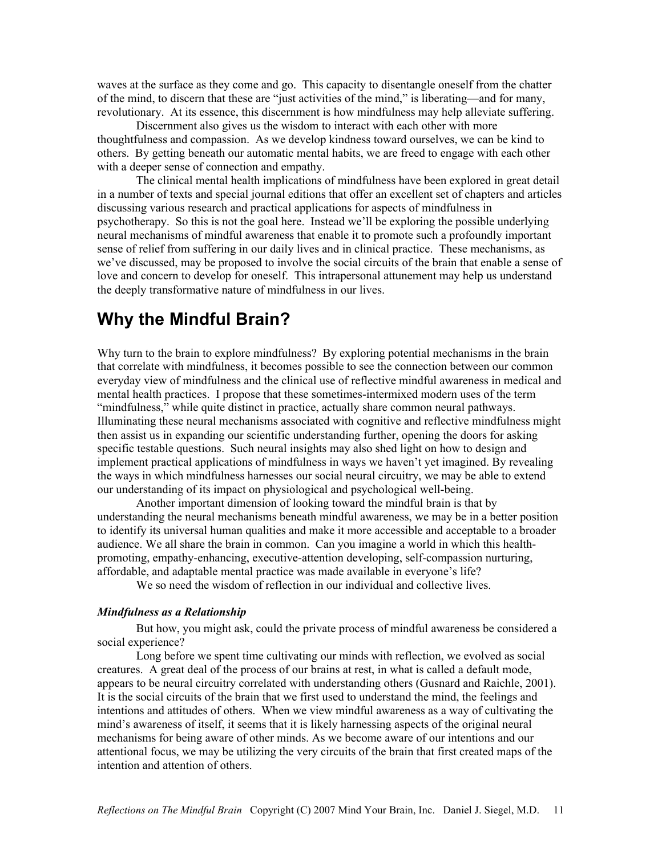waves at the surface as they come and go. This capacity to disentangle oneself from the chatter of the mind, to discern that these are "just activities of the mind," is liberating—and for many, revolutionary. At its essence, this discernment is how mindfulness may help alleviate suffering.

Discernment also gives us the wisdom to interact with each other with more thoughtfulness and compassion. As we develop kindness toward ourselves, we can be kind to others. By getting beneath our automatic mental habits, we are freed to engage with each other with a deeper sense of connection and empathy.

The clinical mental health implications of mindfulness have been explored in great detail in a number of texts and special journal editions that offer an excellent set of chapters and articles discussing various research and practical applications for aspects of mindfulness in psychotherapy. So this is not the goal here. Instead we'll be exploring the possible underlying neural mechanisms of mindful awareness that enable it to promote such a profoundly important sense of relief from suffering in our daily lives and in clinical practice. These mechanisms, as we've discussed, may be proposed to involve the social circuits of the brain that enable a sense of love and concern to develop for oneself. This intrapersonal attunement may help us understand the deeply transformative nature of mindfulness in our lives.

# **Why the Mindful Brain?**

Why turn to the brain to explore mindfulness? By exploring potential mechanisms in the brain that correlate with mindfulness, it becomes possible to see the connection between our common everyday view of mindfulness and the clinical use of reflective mindful awareness in medical and mental health practices. I propose that these sometimes-intermixed modern uses of the term "mindfulness," while quite distinct in practice, actually share common neural pathways. Illuminating these neural mechanisms associated with cognitive and reflective mindfulness might then assist us in expanding our scientific understanding further, opening the doors for asking specific testable questions. Such neural insights may also shed light on how to design and implement practical applications of mindfulness in ways we haven't yet imagined. By revealing the ways in which mindfulness harnesses our social neural circuitry, we may be able to extend our understanding of its impact on physiological and psychological well-being.

Another important dimension of looking toward the mindful brain is that by understanding the neural mechanisms beneath mindful awareness, we may be in a better position to identify its universal human qualities and make it more accessible and acceptable to a broader audience. We all share the brain in common. Can you imagine a world in which this healthpromoting, empathy-enhancing, executive-attention developing, self-compassion nurturing, affordable, and adaptable mental practice was made available in everyone's life?

We so need the wisdom of reflection in our individual and collective lives.

## *Mindfulness as a Relationship*

But how, you might ask, could the private process of mindful awareness be considered a social experience?

Long before we spent time cultivating our minds with reflection, we evolved as social creatures. A great deal of the process of our brains at rest, in what is called a default mode, appears to be neural circuitry correlated with understanding others (Gusnard and Raichle, 2001). It is the social circuits of the brain that we first used to understand the mind, the feelings and intentions and attitudes of others. When we view mindful awareness as a way of cultivating the mind's awareness of itself, it seems that it is likely harnessing aspects of the original neural mechanisms for being aware of other minds. As we become aware of our intentions and our attentional focus, we may be utilizing the very circuits of the brain that first created maps of the intention and attention of others.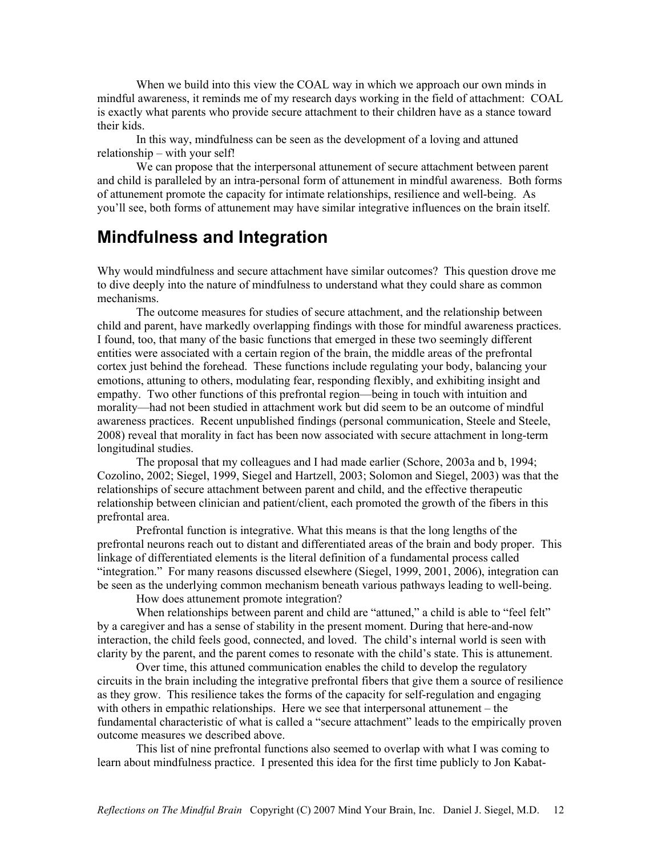When we build into this view the COAL way in which we approach our own minds in mindful awareness, it reminds me of my research days working in the field of attachment: COAL is exactly what parents who provide secure attachment to their children have as a stance toward their kids.

In this way, mindfulness can be seen as the development of a loving and attuned relationship – with your self!

We can propose that the interpersonal attunement of secure attachment between parent and child is paralleled by an intra-personal form of attunement in mindful awareness. Both forms of attunement promote the capacity for intimate relationships, resilience and well-being. As you'll see, both forms of attunement may have similar integrative influences on the brain itself.

## **Mindfulness and Integration**

Why would mindfulness and secure attachment have similar outcomes? This question drove me to dive deeply into the nature of mindfulness to understand what they could share as common mechanisms.

The outcome measures for studies of secure attachment, and the relationship between child and parent, have markedly overlapping findings with those for mindful awareness practices. I found, too, that many of the basic functions that emerged in these two seemingly different entities were associated with a certain region of the brain, the middle areas of the prefrontal cortex just behind the forehead. These functions include regulating your body, balancing your emotions, attuning to others, modulating fear, responding flexibly, and exhibiting insight and empathy. Two other functions of this prefrontal region—being in touch with intuition and morality—had not been studied in attachment work but did seem to be an outcome of mindful awareness practices. Recent unpublished findings (personal communication, Steele and Steele, 2008) reveal that morality in fact has been now associated with secure attachment in long-term longitudinal studies.

The proposal that my colleagues and I had made earlier (Schore, 2003a and b, 1994; Cozolino, 2002; Siegel, 1999, Siegel and Hartzell, 2003; Solomon and Siegel, 2003) was that the relationships of secure attachment between parent and child, and the effective therapeutic relationship between clinician and patient/client, each promoted the growth of the fibers in this prefrontal area.

Prefrontal function is integrative. What this means is that the long lengths of the prefrontal neurons reach out to distant and differentiated areas of the brain and body proper. This linkage of differentiated elements is the literal definition of a fundamental process called "integration." For many reasons discussed elsewhere (Siegel, 1999, 2001, 2006), integration can be seen as the underlying common mechanism beneath various pathways leading to well-being.

How does attunement promote integration?

When relationships between parent and child are "attuned," a child is able to "feel felt" by a caregiver and has a sense of stability in the present moment. During that here-and-now interaction, the child feels good, connected, and loved. The child's internal world is seen with clarity by the parent, and the parent comes to resonate with the child's state. This is attunement.

Over time, this attuned communication enables the child to develop the regulatory circuits in the brain including the integrative prefrontal fibers that give them a source of resilience as they grow. This resilience takes the forms of the capacity for self-regulation and engaging with others in empathic relationships. Here we see that interpersonal attunement – the fundamental characteristic of what is called a "secure attachment" leads to the empirically proven outcome measures we described above.

This list of nine prefrontal functions also seemed to overlap with what I was coming to learn about mindfulness practice. I presented this idea for the first time publicly to Jon Kabat-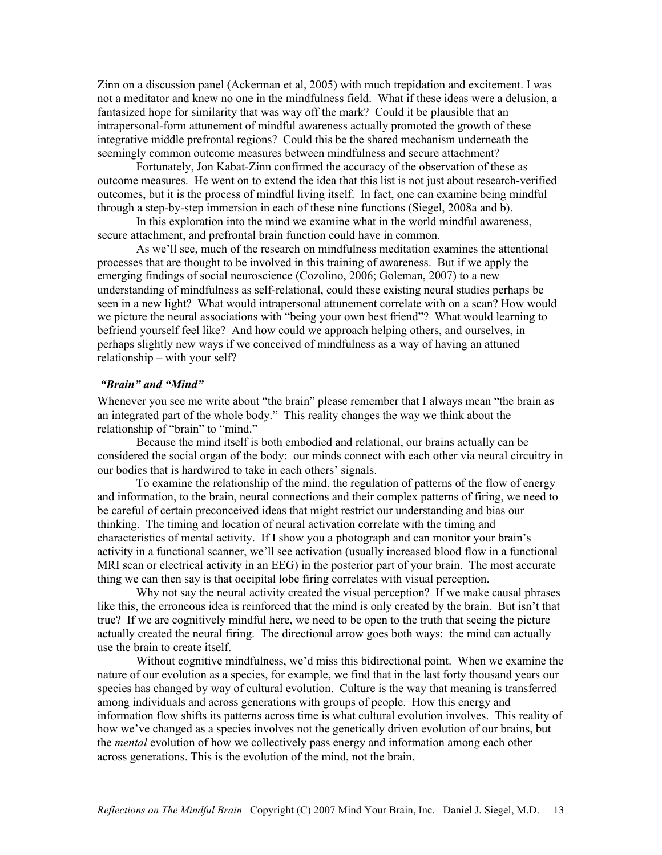Zinn on a discussion panel (Ackerman et al, 2005) with much trepidation and excitement. I was not a meditator and knew no one in the mindfulness field. What if these ideas were a delusion, a fantasized hope for similarity that was way off the mark? Could it be plausible that an intrapersonal-form attunement of mindful awareness actually promoted the growth of these integrative middle prefrontal regions? Could this be the shared mechanism underneath the seemingly common outcome measures between mindfulness and secure attachment?

Fortunately, Jon Kabat-Zinn confirmed the accuracy of the observation of these as outcome measures. He went on to extend the idea that this list is not just about research-verified outcomes, but it is the process of mindful living itself. In fact, one can examine being mindful through a step-by-step immersion in each of these nine functions (Siegel, 2008a and b).

In this exploration into the mind we examine what in the world mindful awareness, secure attachment, and prefrontal brain function could have in common.

As we'll see, much of the research on mindfulness meditation examines the attentional processes that are thought to be involved in this training of awareness. But if we apply the emerging findings of social neuroscience (Cozolino, 2006; Goleman, 2007) to a new understanding of mindfulness as self-relational, could these existing neural studies perhaps be seen in a new light? What would intrapersonal attunement correlate with on a scan? How would we picture the neural associations with "being your own best friend"? What would learning to befriend yourself feel like? And how could we approach helping others, and ourselves, in perhaps slightly new ways if we conceived of mindfulness as a way of having an attuned relationship – with your self?

#### *"Brain" and "Mind"*

Whenever you see me write about "the brain" please remember that I always mean "the brain as an integrated part of the whole body." This reality changes the way we think about the relationship of "brain" to "mind."

Because the mind itself is both embodied and relational, our brains actually can be considered the social organ of the body: our minds connect with each other via neural circuitry in our bodies that is hardwired to take in each others' signals.

To examine the relationship of the mind, the regulation of patterns of the flow of energy and information, to the brain, neural connections and their complex patterns of firing, we need to be careful of certain preconceived ideas that might restrict our understanding and bias our thinking. The timing and location of neural activation correlate with the timing and characteristics of mental activity. If I show you a photograph and can monitor your brain's activity in a functional scanner, we'll see activation (usually increased blood flow in a functional MRI scan or electrical activity in an EEG) in the posterior part of your brain. The most accurate thing we can then say is that occipital lobe firing correlates with visual perception.

Why not say the neural activity created the visual perception? If we make causal phrases like this, the erroneous idea is reinforced that the mind is only created by the brain. But isn't that true? If we are cognitively mindful here, we need to be open to the truth that seeing the picture actually created the neural firing. The directional arrow goes both ways: the mind can actually use the brain to create itself.

Without cognitive mindfulness, we'd miss this bidirectional point. When we examine the nature of our evolution as a species, for example, we find that in the last forty thousand years our species has changed by way of cultural evolution. Culture is the way that meaning is transferred among individuals and across generations with groups of people. How this energy and information flow shifts its patterns across time is what cultural evolution involves. This reality of how we've changed as a species involves not the genetically driven evolution of our brains, but the *mental* evolution of how we collectively pass energy and information among each other across generations. This is the evolution of the mind, not the brain.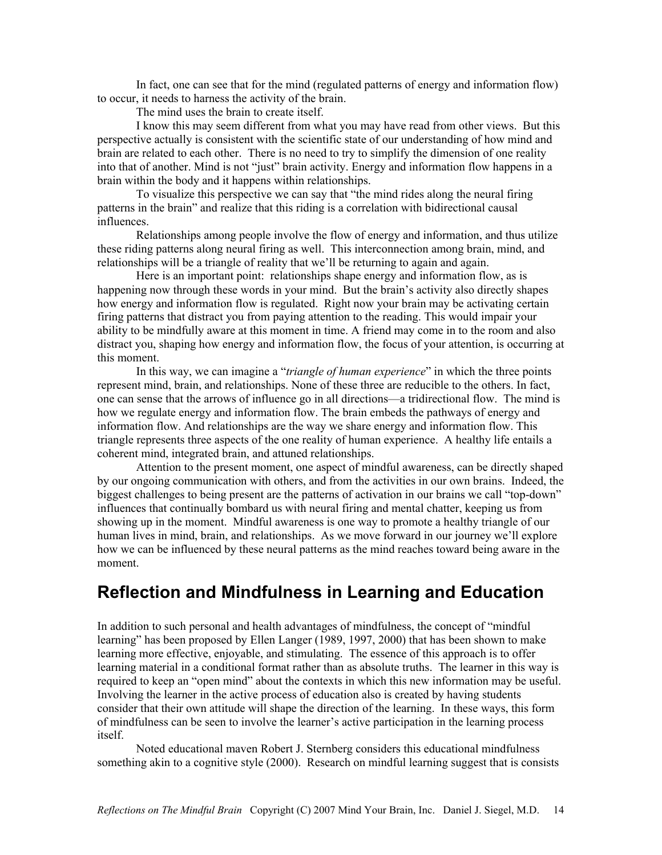In fact, one can see that for the mind (regulated patterns of energy and information flow) to occur, it needs to harness the activity of the brain.

The mind uses the brain to create itself.

I know this may seem different from what you may have read from other views. But this perspective actually is consistent with the scientific state of our understanding of how mind and brain are related to each other. There is no need to try to simplify the dimension of one reality into that of another. Mind is not "just" brain activity. Energy and information flow happens in a brain within the body and it happens within relationships.

To visualize this perspective we can say that "the mind rides along the neural firing patterns in the brain" and realize that this riding is a correlation with bidirectional causal influences.

Relationships among people involve the flow of energy and information, and thus utilize these riding patterns along neural firing as well. This interconnection among brain, mind, and relationships will be a triangle of reality that we'll be returning to again and again.

Here is an important point: relationships shape energy and information flow, as is happening now through these words in your mind. But the brain's activity also directly shapes how energy and information flow is regulated. Right now your brain may be activating certain firing patterns that distract you from paying attention to the reading. This would impair your ability to be mindfully aware at this moment in time. A friend may come in to the room and also distract you, shaping how energy and information flow, the focus of your attention, is occurring at this moment.

In this way, we can imagine a "*triangle of human experience*" in which the three points represent mind, brain, and relationships. None of these three are reducible to the others. In fact, one can sense that the arrows of influence go in all directions—a tridirectional flow. The mind is how we regulate energy and information flow. The brain embeds the pathways of energy and information flow. And relationships are the way we share energy and information flow. This triangle represents three aspects of the one reality of human experience. A healthy life entails a coherent mind, integrated brain, and attuned relationships.

Attention to the present moment, one aspect of mindful awareness, can be directly shaped by our ongoing communication with others, and from the activities in our own brains. Indeed, the biggest challenges to being present are the patterns of activation in our brains we call "top-down" influences that continually bombard us with neural firing and mental chatter, keeping us from showing up in the moment. Mindful awareness is one way to promote a healthy triangle of our human lives in mind, brain, and relationships. As we move forward in our journey we'll explore how we can be influenced by these neural patterns as the mind reaches toward being aware in the moment.

## **Reflection and Mindfulness in Learning and Education**

In addition to such personal and health advantages of mindfulness, the concept of "mindful learning" has been proposed by Ellen Langer (1989, 1997, 2000) that has been shown to make learning more effective, enjoyable, and stimulating. The essence of this approach is to offer learning material in a conditional format rather than as absolute truths. The learner in this way is required to keep an "open mind" about the contexts in which this new information may be useful. Involving the learner in the active process of education also is created by having students consider that their own attitude will shape the direction of the learning. In these ways, this form of mindfulness can be seen to involve the learner's active participation in the learning process itself.

Noted educational maven Robert J. Sternberg considers this educational mindfulness something akin to a cognitive style (2000). Research on mindful learning suggest that is consists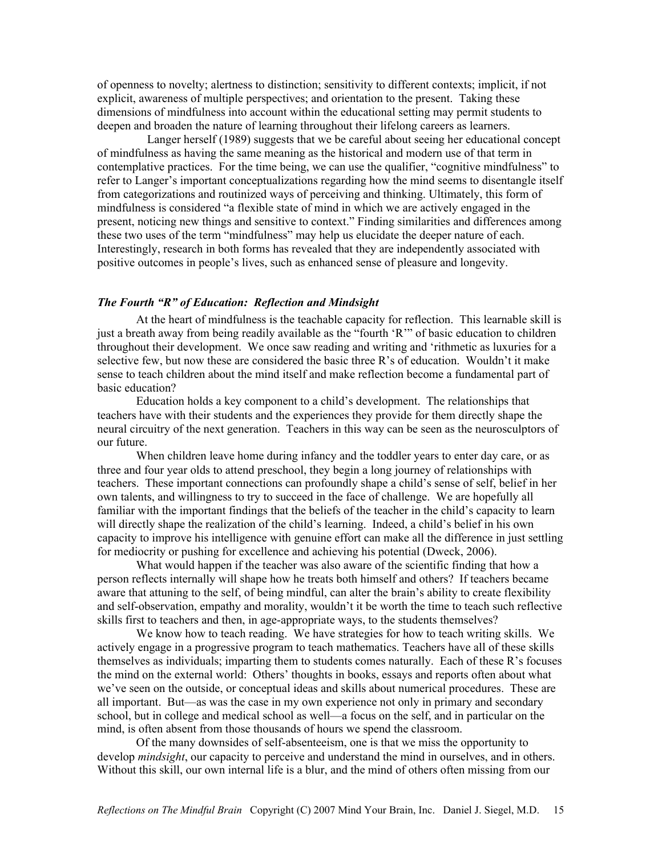of openness to novelty; alertness to distinction; sensitivity to different contexts; implicit, if not explicit, awareness of multiple perspectives; and orientation to the present. Taking these dimensions of mindfulness into account within the educational setting may permit students to deepen and broaden the nature of learning throughout their lifelong careers as learners.

Langer herself (1989) suggests that we be careful about seeing her educational concept of mindfulness as having the same meaning as the historical and modern use of that term in contemplative practices. For the time being, we can use the qualifier, "cognitive mindfulness" to refer to Langer's important conceptualizations regarding how the mind seems to disentangle itself from categorizations and routinized ways of perceiving and thinking. Ultimately, this form of mindfulness is considered "a flexible state of mind in which we are actively engaged in the present, noticing new things and sensitive to context." Finding similarities and differences among these two uses of the term "mindfulness" may help us elucidate the deeper nature of each. Interestingly, research in both forms has revealed that they are independently associated with positive outcomes in people's lives, such as enhanced sense of pleasure and longevity.

### *The Fourth "R" of Education: Reflection and Mindsight*

At the heart of mindfulness is the teachable capacity for reflection. This learnable skill is just a breath away from being readily available as the "fourth 'R'" of basic education to children throughout their development. We once saw reading and writing and 'rithmetic as luxuries for a selective few, but now these are considered the basic three R's of education. Wouldn't it make sense to teach children about the mind itself and make reflection become a fundamental part of basic education?

Education holds a key component to a child's development. The relationships that teachers have with their students and the experiences they provide for them directly shape the neural circuitry of the next generation. Teachers in this way can be seen as the neurosculptors of our future.

When children leave home during infancy and the toddler years to enter day care, or as three and four year olds to attend preschool, they begin a long journey of relationships with teachers. These important connections can profoundly shape a child's sense of self, belief in her own talents, and willingness to try to succeed in the face of challenge. We are hopefully all familiar with the important findings that the beliefs of the teacher in the child's capacity to learn will directly shape the realization of the child's learning. Indeed, a child's belief in his own capacity to improve his intelligence with genuine effort can make all the difference in just settling for mediocrity or pushing for excellence and achieving his potential (Dweck, 2006).

What would happen if the teacher was also aware of the scientific finding that how a person reflects internally will shape how he treats both himself and others? If teachers became aware that attuning to the self, of being mindful, can alter the brain's ability to create flexibility and self-observation, empathy and morality, wouldn't it be worth the time to teach such reflective skills first to teachers and then, in age-appropriate ways, to the students themselves?

We know how to teach reading. We have strategies for how to teach writing skills. We actively engage in a progressive program to teach mathematics. Teachers have all of these skills themselves as individuals; imparting them to students comes naturally. Each of these R's focuses the mind on the external world: Others' thoughts in books, essays and reports often about what we've seen on the outside, or conceptual ideas and skills about numerical procedures. These are all important. But—as was the case in my own experience not only in primary and secondary school, but in college and medical school as well—a focus on the self, and in particular on the mind, is often absent from those thousands of hours we spend the classroom.

Of the many downsides of self-absenteeism, one is that we miss the opportunity to develop *mindsight*, our capacity to perceive and understand the mind in ourselves, and in others. Without this skill, our own internal life is a blur, and the mind of others often missing from our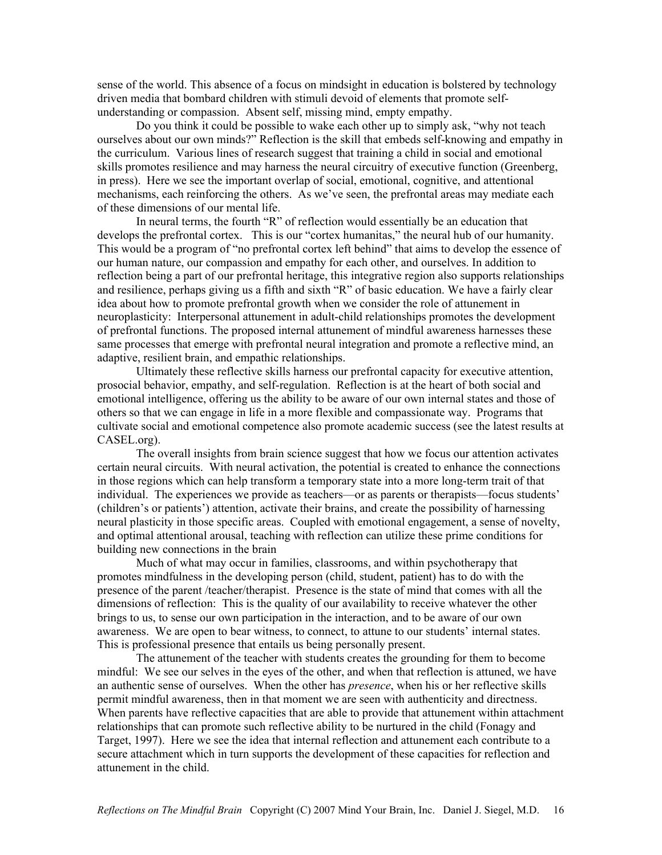sense of the world. This absence of a focus on mindsight in education is bolstered by technology driven media that bombard children with stimuli devoid of elements that promote selfunderstanding or compassion. Absent self, missing mind, empty empathy.

Do you think it could be possible to wake each other up to simply ask, "why not teach ourselves about our own minds?" Reflection is the skill that embeds self-knowing and empathy in the curriculum. Various lines of research suggest that training a child in social and emotional skills promotes resilience and may harness the neural circuitry of executive function (Greenberg, in press). Here we see the important overlap of social, emotional, cognitive, and attentional mechanisms, each reinforcing the others. As we've seen, the prefrontal areas may mediate each of these dimensions of our mental life.

In neural terms, the fourth "R" of reflection would essentially be an education that develops the prefrontal cortex. This is our "cortex humanitas," the neural hub of our humanity. This would be a program of "no prefrontal cortex left behind" that aims to develop the essence of our human nature, our compassion and empathy for each other, and ourselves. In addition to reflection being a part of our prefrontal heritage, this integrative region also supports relationships and resilience, perhaps giving us a fifth and sixth "R" of basic education. We have a fairly clear idea about how to promote prefrontal growth when we consider the role of attunement in neuroplasticity: Interpersonal attunement in adult-child relationships promotes the development of prefrontal functions. The proposed internal attunement of mindful awareness harnesses these same processes that emerge with prefrontal neural integration and promote a reflective mind, an adaptive, resilient brain, and empathic relationships.

Ultimately these reflective skills harness our prefrontal capacity for executive attention, prosocial behavior, empathy, and self-regulation. Reflection is at the heart of both social and emotional intelligence, offering us the ability to be aware of our own internal states and those of others so that we can engage in life in a more flexible and compassionate way. Programs that cultivate social and emotional competence also promote academic success (see the latest results at CASEL.org).

The overall insights from brain science suggest that how we focus our attention activates certain neural circuits. With neural activation, the potential is created to enhance the connections in those regions which can help transform a temporary state into a more long-term trait of that individual. The experiences we provide as teachers—or as parents or therapists—focus students' (children's or patients') attention, activate their brains, and create the possibility of harnessing neural plasticity in those specific areas. Coupled with emotional engagement, a sense of novelty, and optimal attentional arousal, teaching with reflection can utilize these prime conditions for building new connections in the brain

Much of what may occur in families, classrooms, and within psychotherapy that promotes mindfulness in the developing person (child, student, patient) has to do with the presence of the parent /teacher/therapist. Presence is the state of mind that comes with all the dimensions of reflection: This is the quality of our availability to receive whatever the other brings to us, to sense our own participation in the interaction, and to be aware of our own awareness. We are open to bear witness, to connect, to attune to our students' internal states. This is professional presence that entails us being personally present.

The attunement of the teacher with students creates the grounding for them to become mindful: We see our selves in the eyes of the other, and when that reflection is attuned, we have an authentic sense of ourselves. When the other has *presence*, when his or her reflective skills permit mindful awareness, then in that moment we are seen with authenticity and directness. When parents have reflective capacities that are able to provide that attunement within attachment relationships that can promote such reflective ability to be nurtured in the child (Fonagy and Target, 1997). Here we see the idea that internal reflection and attunement each contribute to a secure attachment which in turn supports the development of these capacities for reflection and attunement in the child.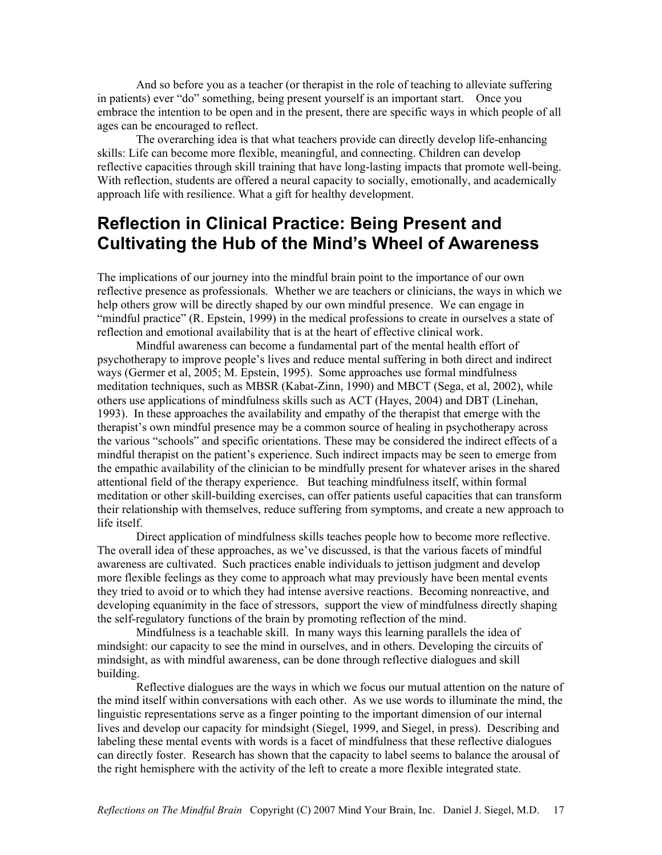And so before you as a teacher (or therapist in the role of teaching to alleviate suffering in patients) ever "do" something, being present yourself is an important start. Once you embrace the intention to be open and in the present, there are specific ways in which people of all ages can be encouraged to reflect.

The overarching idea is that what teachers provide can directly develop life-enhancing skills: Life can become more flexible, meaningful, and connecting. Children can develop reflective capacities through skill training that have long-lasting impacts that promote well-being. With reflection, students are offered a neural capacity to socially, emotionally, and academically approach life with resilience. What a gift for healthy development.

# **Reflection in Clinical Practice: Being Present and Cultivating the Hub of the Mind's Wheel of Awareness**

The implications of our journey into the mindful brain point to the importance of our own reflective presence as professionals. Whether we are teachers or clinicians, the ways in which we help others grow will be directly shaped by our own mindful presence. We can engage in "mindful practice" (R. Epstein, 1999) in the medical professions to create in ourselves a state of reflection and emotional availability that is at the heart of effective clinical work.

Mindful awareness can become a fundamental part of the mental health effort of psychotherapy to improve people's lives and reduce mental suffering in both direct and indirect ways (Germer et al, 2005; M. Epstein, 1995). Some approaches use formal mindfulness meditation techniques, such as MBSR (Kabat-Zinn, 1990) and MBCT (Sega, et al, 2002), while others use applications of mindfulness skills such as ACT (Hayes, 2004) and DBT (Linehan, 1993). In these approaches the availability and empathy of the therapist that emerge with the therapist's own mindful presence may be a common source of healing in psychotherapy across the various "schools" and specific orientations. These may be considered the indirect effects of a mindful therapist on the patient's experience. Such indirect impacts may be seen to emerge from the empathic availability of the clinician to be mindfully present for whatever arises in the shared attentional field of the therapy experience. But teaching mindfulness itself, within formal meditation or other skill-building exercises, can offer patients useful capacities that can transform their relationship with themselves, reduce suffering from symptoms, and create a new approach to life itself.

Direct application of mindfulness skills teaches people how to become more reflective. The overall idea of these approaches, as we've discussed, is that the various facets of mindful awareness are cultivated. Such practices enable individuals to jettison judgment and develop more flexible feelings as they come to approach what may previously have been mental events they tried to avoid or to which they had intense aversive reactions. Becoming nonreactive, and developing equanimity in the face of stressors, support the view of mindfulness directly shaping the self-regulatory functions of the brain by promoting reflection of the mind.

Mindfulness is a teachable skill. In many ways this learning parallels the idea of mindsight: our capacity to see the mind in ourselves, and in others. Developing the circuits of mindsight, as with mindful awareness, can be done through reflective dialogues and skill building.

Reflective dialogues are the ways in which we focus our mutual attention on the nature of the mind itself within conversations with each other. As we use words to illuminate the mind, the linguistic representations serve as a finger pointing to the important dimension of our internal lives and develop our capacity for mindsight (Siegel, 1999, and Siegel, in press). Describing and labeling these mental events with words is a facet of mindfulness that these reflective dialogues can directly foster. Research has shown that the capacity to label seems to balance the arousal of the right hemisphere with the activity of the left to create a more flexible integrated state.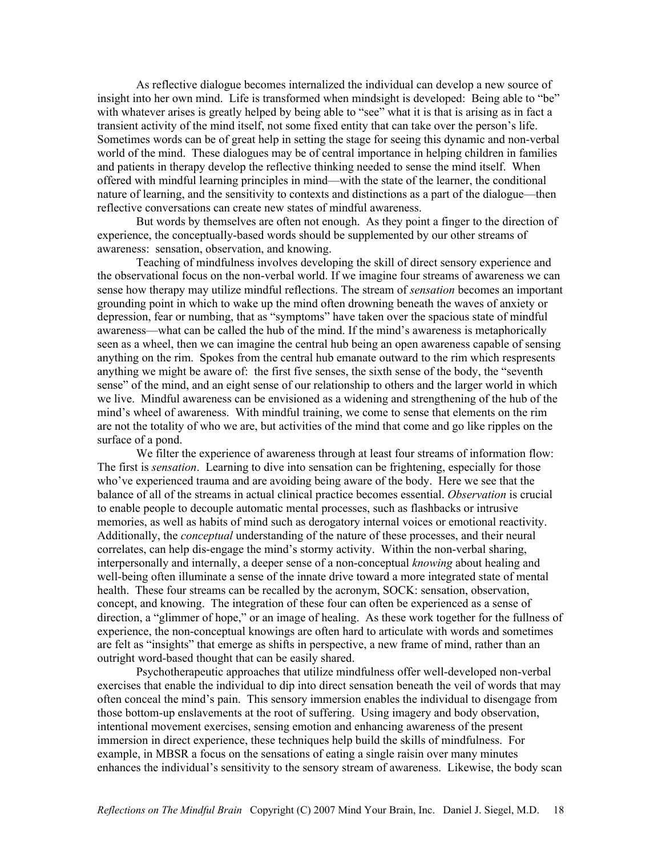As reflective dialogue becomes internalized the individual can develop a new source of insight into her own mind. Life is transformed when mindsight is developed: Being able to "be" with whatever arises is greatly helped by being able to "see" what it is that is arising as in fact a transient activity of the mind itself, not some fixed entity that can take over the person's life. Sometimes words can be of great help in setting the stage for seeing this dynamic and non-verbal world of the mind. These dialogues may be of central importance in helping children in families and patients in therapy develop the reflective thinking needed to sense the mind itself. When offered with mindful learning principles in mind—with the state of the learner, the conditional nature of learning, and the sensitivity to contexts and distinctions as a part of the dialogue—then reflective conversations can create new states of mindful awareness.

But words by themselves are often not enough. As they point a finger to the direction of experience, the conceptually-based words should be supplemented by our other streams of awareness: sensation, observation, and knowing.

Teaching of mindfulness involves developing the skill of direct sensory experience and the observational focus on the non-verbal world. If we imagine four streams of awareness we can sense how therapy may utilize mindful reflections. The stream of *sensation* becomes an important grounding point in which to wake up the mind often drowning beneath the waves of anxiety or depression, fear or numbing, that as "symptoms" have taken over the spacious state of mindful awareness—what can be called the hub of the mind. If the mind's awareness is metaphorically seen as a wheel, then we can imagine the central hub being an open awareness capable of sensing anything on the rim. Spokes from the central hub emanate outward to the rim which respresents anything we might be aware of: the first five senses, the sixth sense of the body, the "seventh sense" of the mind, and an eight sense of our relationship to others and the larger world in which we live. Mindful awareness can be envisioned as a widening and strengthening of the hub of the mind's wheel of awareness. With mindful training, we come to sense that elements on the rim are not the totality of who we are, but activities of the mind that come and go like ripples on the surface of a pond.

We filter the experience of awareness through at least four streams of information flow: The first is *sensation*. Learning to dive into sensation can be frightening, especially for those who've experienced trauma and are avoiding being aware of the body. Here we see that the balance of all of the streams in actual clinical practice becomes essential. *Observation* is crucial to enable people to decouple automatic mental processes, such as flashbacks or intrusive memories, as well as habits of mind such as derogatory internal voices or emotional reactivity. Additionally, the *conceptual* understanding of the nature of these processes, and their neural correlates, can help dis-engage the mind's stormy activity. Within the non-verbal sharing, interpersonally and internally, a deeper sense of a non-conceptual *knowing* about healing and well-being often illuminate a sense of the innate drive toward a more integrated state of mental health. These four streams can be recalled by the acronym, SOCK: sensation, observation, concept, and knowing. The integration of these four can often be experienced as a sense of direction, a "glimmer of hope," or an image of healing. As these work together for the fullness of experience, the non-conceptual knowings are often hard to articulate with words and sometimes are felt as "insights" that emerge as shifts in perspective, a new frame of mind, rather than an outright word-based thought that can be easily shared.

Psychotherapeutic approaches that utilize mindfulness offer well-developed non-verbal exercises that enable the individual to dip into direct sensation beneath the veil of words that may often conceal the mind's pain. This sensory immersion enables the individual to disengage from those bottom-up enslavements at the root of suffering. Using imagery and body observation, intentional movement exercises, sensing emotion and enhancing awareness of the present immersion in direct experience, these techniques help build the skills of mindfulness. For example, in MBSR a focus on the sensations of eating a single raisin over many minutes enhances the individual's sensitivity to the sensory stream of awareness. Likewise, the body scan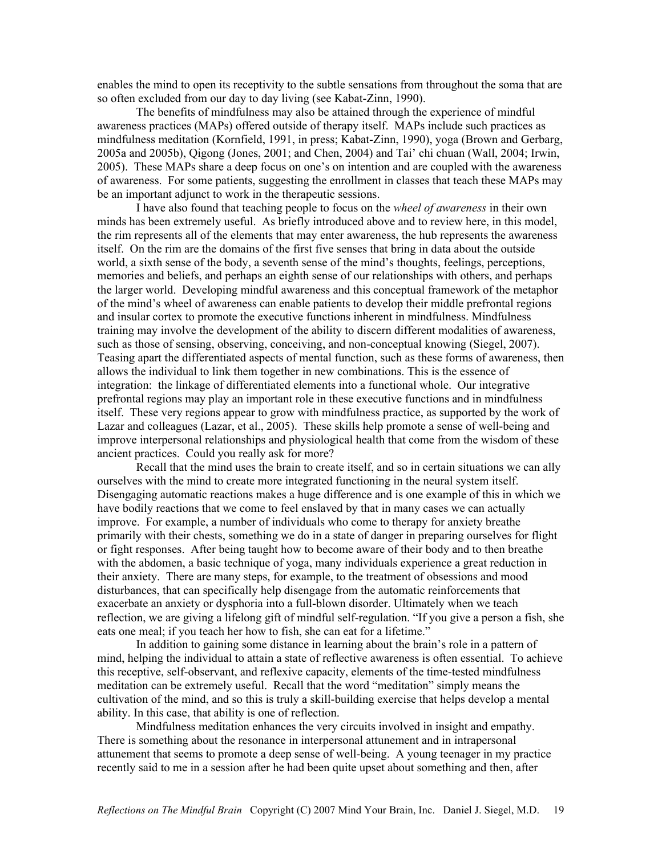enables the mind to open its receptivity to the subtle sensations from throughout the soma that are so often excluded from our day to day living (see Kabat-Zinn, 1990).

The benefits of mindfulness may also be attained through the experience of mindful awareness practices (MAPs) offered outside of therapy itself. MAPs include such practices as mindfulness meditation (Kornfield, 1991, in press; Kabat-Zinn, 1990), yoga (Brown and Gerbarg, 2005a and 2005b), Qigong (Jones, 2001; and Chen, 2004) and Tai' chi chuan (Wall, 2004; Irwin, 2005). These MAPs share a deep focus on one's on intention and are coupled with the awareness of awareness. For some patients, suggesting the enrollment in classes that teach these MAPs may be an important adjunct to work in the therapeutic sessions.

I have also found that teaching people to focus on the *wheel of awareness* in their own minds has been extremely useful. As briefly introduced above and to review here, in this model, the rim represents all of the elements that may enter awareness, the hub represents the awareness itself. On the rim are the domains of the first five senses that bring in data about the outside world, a sixth sense of the body, a seventh sense of the mind's thoughts, feelings, perceptions, memories and beliefs, and perhaps an eighth sense of our relationships with others, and perhaps the larger world. Developing mindful awareness and this conceptual framework of the metaphor of the mind's wheel of awareness can enable patients to develop their middle prefrontal regions and insular cortex to promote the executive functions inherent in mindfulness. Mindfulness training may involve the development of the ability to discern different modalities of awareness, such as those of sensing, observing, conceiving, and non-conceptual knowing (Siegel, 2007). Teasing apart the differentiated aspects of mental function, such as these forms of awareness, then allows the individual to link them together in new combinations. This is the essence of integration: the linkage of differentiated elements into a functional whole. Our integrative prefrontal regions may play an important role in these executive functions and in mindfulness itself. These very regions appear to grow with mindfulness practice, as supported by the work of Lazar and colleagues (Lazar, et al., 2005). These skills help promote a sense of well-being and improve interpersonal relationships and physiological health that come from the wisdom of these ancient practices. Could you really ask for more?

Recall that the mind uses the brain to create itself, and so in certain situations we can ally ourselves with the mind to create more integrated functioning in the neural system itself. Disengaging automatic reactions makes a huge difference and is one example of this in which we have bodily reactions that we come to feel enslaved by that in many cases we can actually improve. For example, a number of individuals who come to therapy for anxiety breathe primarily with their chests, something we do in a state of danger in preparing ourselves for flight or fight responses. After being taught how to become aware of their body and to then breathe with the abdomen, a basic technique of yoga, many individuals experience a great reduction in their anxiety. There are many steps, for example, to the treatment of obsessions and mood disturbances, that can specifically help disengage from the automatic reinforcements that exacerbate an anxiety or dysphoria into a full-blown disorder. Ultimately when we teach reflection, we are giving a lifelong gift of mindful self-regulation. "If you give a person a fish, she eats one meal; if you teach her how to fish, she can eat for a lifetime."

In addition to gaining some distance in learning about the brain's role in a pattern of mind, helping the individual to attain a state of reflective awareness is often essential. To achieve this receptive, self-observant, and reflexive capacity, elements of the time-tested mindfulness meditation can be extremely useful. Recall that the word "meditation" simply means the cultivation of the mind, and so this is truly a skill-building exercise that helps develop a mental ability. In this case, that ability is one of reflection.

Mindfulness meditation enhances the very circuits involved in insight and empathy. There is something about the resonance in interpersonal attunement and in intrapersonal attunement that seems to promote a deep sense of well-being. A young teenager in my practice recently said to me in a session after he had been quite upset about something and then, after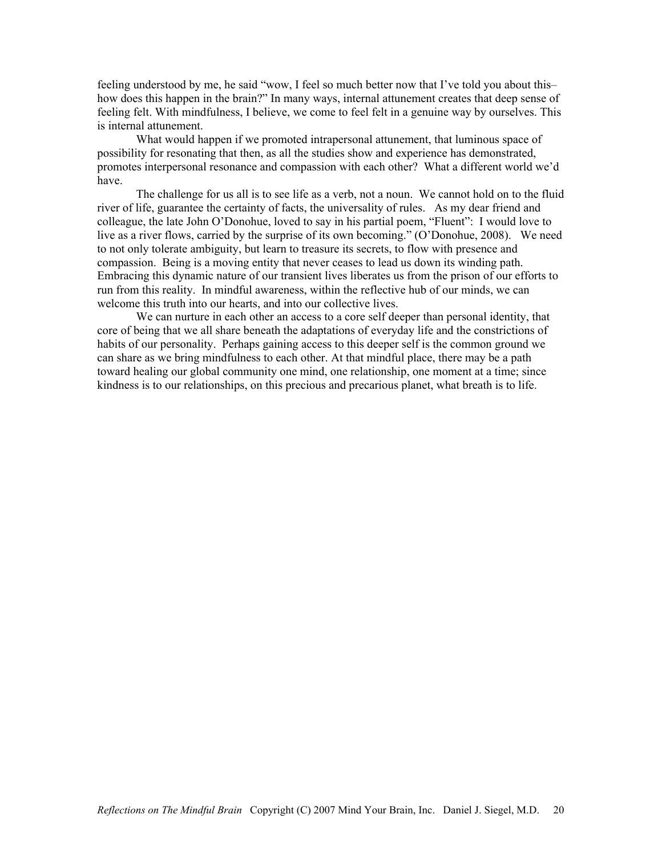feeling understood by me, he said "wow, I feel so much better now that I've told you about this– how does this happen in the brain?" In many ways, internal attunement creates that deep sense of feeling felt. With mindfulness, I believe, we come to feel felt in a genuine way by ourselves. This is internal attunement.

What would happen if we promoted intrapersonal attunement, that luminous space of possibility for resonating that then, as all the studies show and experience has demonstrated, promotes interpersonal resonance and compassion with each other? What a different world we'd have.

The challenge for us all is to see life as a verb, not a noun. We cannot hold on to the fluid river of life, guarantee the certainty of facts, the universality of rules. As my dear friend and colleague, the late John O'Donohue, loved to say in his partial poem, "Fluent": I would love to live as a river flows, carried by the surprise of its own becoming." (O'Donohue, 2008). We need to not only tolerate ambiguity, but learn to treasure its secrets, to flow with presence and compassion. Being is a moving entity that never ceases to lead us down its winding path. Embracing this dynamic nature of our transient lives liberates us from the prison of our efforts to run from this reality. In mindful awareness, within the reflective hub of our minds, we can welcome this truth into our hearts, and into our collective lives.

We can nurture in each other an access to a core self deeper than personal identity, that core of being that we all share beneath the adaptations of everyday life and the constrictions of habits of our personality. Perhaps gaining access to this deeper self is the common ground we can share as we bring mindfulness to each other. At that mindful place, there may be a path toward healing our global community one mind, one relationship, one moment at a time; since kindness is to our relationships, on this precious and precarious planet, what breath is to life.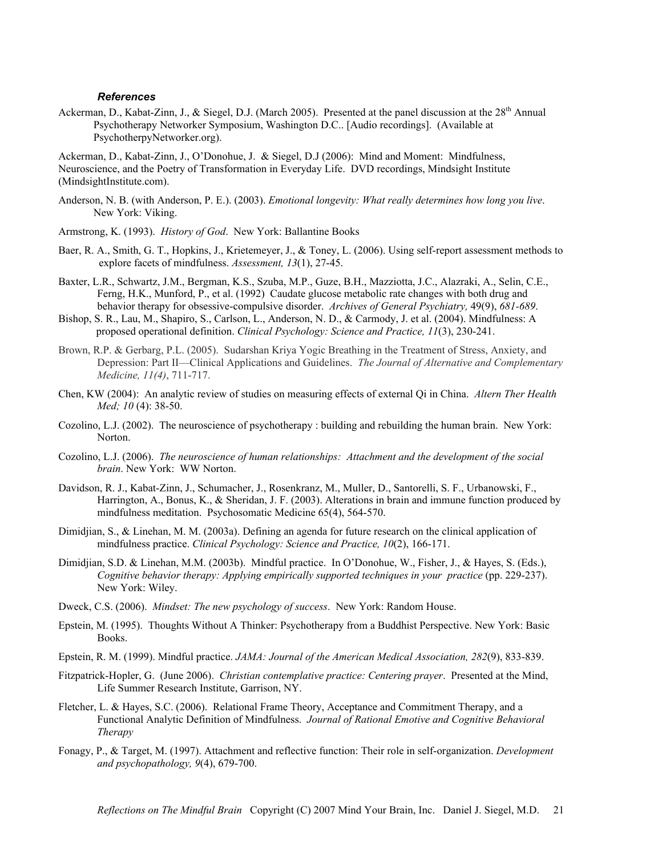#### *References*

Ackerman, D., Kabat-Zinn, J., & Siegel, D.J. (March 2005). Presented at the panel discussion at the 28<sup>th</sup> Annual Psychotherapy Networker Symposium, Washington D.C.. [Audio recordings]. (Available at PsychotherpyNetworker.org).

Ackerman, D., Kabat-Zinn, J., O'Donohue, J. & Siegel, D.J (2006): Mind and Moment: Mindfulness, Neuroscience, and the Poetry of Transformation in Everyday Life. DVD recordings, Mindsight Institute (MindsightInstitute.com).

- Anderson, N. B. (with Anderson, P. E.). (2003). *Emotional longevity: What really determines how long you live*. New York: Viking.
- Armstrong, K. (1993). *History of God*. New York: Ballantine Books
- Baer, R. A., Smith, G. T., Hopkins, J., Krietemeyer, J., & Toney, L. (2006). Using self-report assessment methods to explore facets of mindfulness. *Assessment, 13*(1), 27-45.
- Baxter, L.R., Schwartz, J.M., Bergman, K.S., Szuba, M.P., Guze, B.H., Mazziotta, J.C., Alazraki, A., Selin, C.E., Ferng, H.K., Munford, P., et al. (1992) Caudate glucose metabolic rate changes with both drug and behavior therapy for obsessive-compulsive disorder. *Archives of General Psychiatry,* 49(9), *681-689*.
- Bishop, S. R., Lau, M., Shapiro, S., Carlson, L., Anderson, N. D., & Carmody, J. et al. (2004). Mindfulness: A proposed operational definition. *Clinical Psychology: Science and Practice, 11*(3), 230-241.
- Brown, R.P. & Gerbarg, P.L. (2005). Sudarshan Kriya Yogic Breathing in the Treatment of Stress, Anxiety, and Depression: Part II—Clinical Applications and Guidelines. *The Journal of Alternative and Complementary Medicine, 11(4)*, 711-717.
- Chen, KW (2004): An analytic review of studies on measuring effects of external Qi in China. *Altern Ther Health Med; 10* (4): 38-50.
- Cozolino, L.J. (2002). The neuroscience of psychotherapy : building and rebuilding the human brain. New York: Norton.
- Cozolino, L.J. (2006). *The neuroscience of human relationships: Attachment and the development of the social brain*. New York: WW Norton.
- Davidson, R. J., Kabat-Zinn, J., Schumacher, J., Rosenkranz, M., Muller, D., Santorelli, S. F., Urbanowski, F., Harrington, A., Bonus, K., & Sheridan, J. F. (2003). Alterations in brain and immune function produced by mindfulness meditation. Psychosomatic Medicine 65(4), 564-570.
- Dimidjian, S., & Linehan, M. M. (2003a). Defining an agenda for future research on the clinical application of mindfulness practice. *Clinical Psychology: Science and Practice, 10*(2), 166-171.
- Dimidjian, S.D. & Linehan, M.M. (2003b). Mindful practice. In O'Donohue, W., Fisher, J., & Hayes, S. (Eds.), *Cognitive behavior therapy: Applying empirically supported techniques in your practice (pp. 229-237).* New York: Wiley.
- Dweck, C.S. (2006). *Mindset: The new psychology of success*. New York: Random House.
- Epstein, M. (1995). Thoughts Without A Thinker: Psychotherapy from a Buddhist Perspective. New York: Basic Books.
- Epstein, R. M. (1999). Mindful practice. *JAMA: Journal of the American Medical Association, 282*(9), 833-839.
- Fitzpatrick-Hopler, G. (June 2006). *Christian contemplative practice: Centering prayer*. Presented at the Mind, Life Summer Research Institute, Garrison, NY.
- Fletcher, L. & Hayes, S.C. (2006). Relational Frame Theory, Acceptance and Commitment Therapy, and a Functional Analytic Definition of Mindfulness. *Journal of Rational Emotive and Cognitive Behavioral Therapy*
- Fonagy, P., & Target, M. (1997). Attachment and reflective function: Their role in self-organization. *Development and psychopathology, 9*(4), 679-700.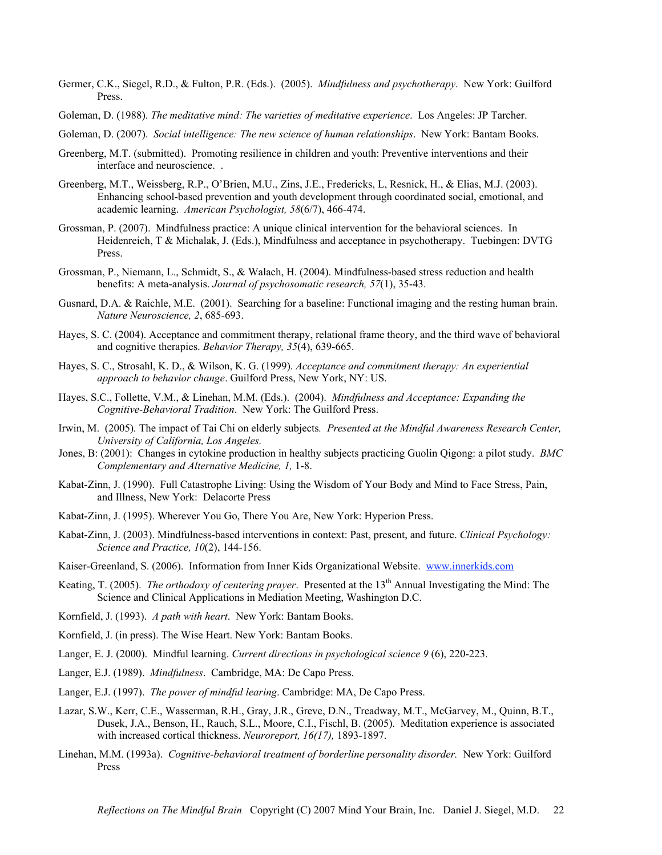- Germer, C.K., Siegel, R.D., & Fulton, P.R. (Eds.). (2005). *Mindfulness and psychotherapy*. New York: Guilford Press.
- Goleman, D. (1988). *The meditative mind: The varieties of meditative experience*. Los Angeles: JP Tarcher.
- Goleman, D. (2007). *Social intelligence: The new science of human relationships*. New York: Bantam Books.
- Greenberg, M.T. (submitted). Promoting resilience in children and youth: Preventive interventions and their interface and neuroscience. .
- Greenberg, M.T., Weissberg, R.P., O'Brien, M.U., Zins, J.E., Fredericks, L, Resnick, H., & Elias, M.J. (2003). Enhancing school-based prevention and youth development through coordinated social, emotional, and academic learning. *American Psychologist, 58*(6/7), 466-474.
- Grossman, P. (2007). Mindfulness practice: A unique clinical intervention for the behavioral sciences. In Heidenreich, T & Michalak, J. (Eds.), Mindfulness and acceptance in psychotherapy. Tuebingen: DVTG Press.
- Grossman, P., Niemann, L., Schmidt, S., & Walach, H. (2004). Mindfulness-based stress reduction and health benefits: A meta-analysis. *Journal of psychosomatic research, 57*(1), 35-43.
- Gusnard, D.A. & Raichle, M.E. (2001). Searching for a baseline: Functional imaging and the resting human brain. *Nature Neuroscience, 2*, 685-693.
- Hayes, S. C. (2004). Acceptance and commitment therapy, relational frame theory, and the third wave of behavioral and cognitive therapies. *Behavior Therapy, 35*(4), 639-665.
- Hayes, S. C., Strosahl, K. D., & Wilson, K. G. (1999). *Acceptance and commitment therapy: An experiential approach to behavior change*. Guilford Press, New York, NY: US.
- Hayes, S.C., Follette, V.M., & Linehan, M.M. (Eds.). (2004). *Mindfulness and Acceptance: Expanding the Cognitive-Behavioral Tradition*. New York: The Guilford Press.
- Irwin, M. (2005)*.* The impact of Tai Chi on elderly subjects*. Presented at the Mindful Awareness Research Center, University of California, Los Angeles.*
- Jones, B: (2001): Changes in cytokine production in healthy subjects practicing Guolin Qigong: a pilot study. *BMC Complementary and Alternative Medicine, 1,* 1-8.
- Kabat-Zinn, J. (1990). Full Catastrophe Living: Using the Wisdom of Your Body and Mind to Face Stress, Pain, and Illness, New York: Delacorte Press
- Kabat-Zinn, J. (1995). Wherever You Go, There You Are, New York: Hyperion Press.
- Kabat-Zinn, J. (2003). Mindfulness-based interventions in context: Past, present, and future. *Clinical Psychology: Science and Practice, 10*(2), 144-156.
- Kaiser-Greenland, S. (2006). Information from Inner Kids Organizational Website. www.innerkids.com
- Keating, T. (2005). *The orthodoxy of centering prayer*. Presented at the 13<sup>th</sup> Annual Investigating the Mind: The Science and Clinical Applications in Mediation Meeting, Washington D.C.
- Kornfield, J. (1993). *A path with heart*. New York: Bantam Books.
- Kornfield, J. (in press). The Wise Heart. New York: Bantam Books.
- Langer, E. J. (2000). Mindful learning. *Current directions in psychological science 9* (6), 220-223.
- Langer, E.J. (1989). *Mindfulness*. Cambridge, MA: De Capo Press.
- Langer, E.J. (1997). *The power of mindful learing*. Cambridge: MA, De Capo Press.
- Lazar, S.W., Kerr, C.E., Wasserman, R.H., Gray, J.R., Greve, D.N., Treadway, M.T., McGarvey, M., Quinn, B.T., Dusek, J.A., Benson, H., Rauch, S.L., Moore, C.I., Fischl, B. (2005). Meditation experience is associated with increased cortical thickness. *Neuroreport, 16(17),* 1893-1897.
- Linehan, M.M. (1993a). *Cognitive-behavioral treatment of borderline personality disorder.* New York: Guilford Press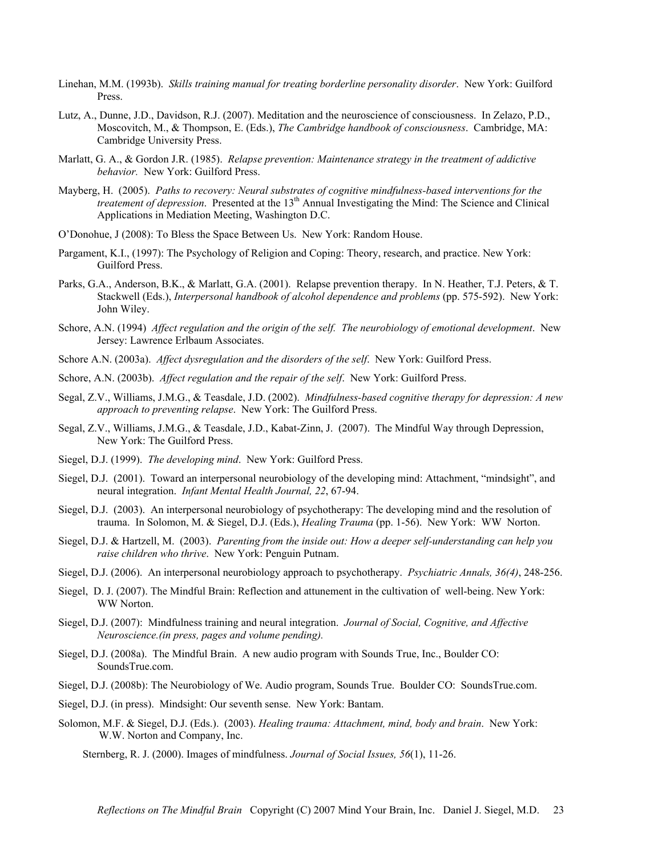- Linehan, M.M. (1993b). *Skills training manual for treating borderline personality disorder*. New York: Guilford Press.
- Lutz, A., Dunne, J.D., Davidson, R.J. (2007). Meditation and the neuroscience of consciousness. In Zelazo, P.D., Moscovitch, M., & Thompson, E. (Eds.), *The Cambridge handbook of consciousness*. Cambridge, MA: Cambridge University Press.
- Marlatt, G. A., & Gordon J.R. (1985). *Relapse prevention: Maintenance strategy in the treatment of addictive behavior.* New York: Guilford Press.
- Mayberg, H. (2005). *Paths to recovery: Neural substrates of cognitive mindfulness-based interventions for the treatement of depression*. Presented at the 13<sup>th</sup> Annual Investigating the Mind: The Science and Clinical Applications in Mediation Meeting, Washington D.C.
- O'Donohue, J (2008): To Bless the Space Between Us. New York: Random House.
- Pargament, K.I., (1997): The Psychology of Religion and Coping: Theory, research, and practice. New York: Guilford Press.
- Parks, G.A., Anderson, B.K., & Marlatt, G.A. (2001). Relapse prevention therapy. In N. Heather, T.J. Peters, & T. Stackwell (Eds.), *Interpersonal handbook of alcohol dependence and problems* (pp. 575-592). New York: John Wiley.
- Schore, A.N. (1994) *Affect regulation and the origin of the self. The neurobiology of emotional development*. New Jersey: Lawrence Erlbaum Associates.
- Schore A.N. (2003a). *Affect dysregulation and the disorders of the self*. New York: Guilford Press.
- Schore, A.N. (2003b). *Affect regulation and the repair of the self*. New York: Guilford Press.
- Segal, Z.V., Williams, J.M.G., & Teasdale, J.D. (2002). *Mindfulness-based cognitive therapy for depression: A new approach to preventing relapse*. New York: The Guilford Press.
- Segal, Z.V., Williams, J.M.G., & Teasdale, J.D., Kabat-Zinn, J. (2007). The Mindful Way through Depression, New York: The Guilford Press.
- Siegel, D.J. (1999). *The developing mind*. New York: Guilford Press.
- Siegel, D.J. (2001). Toward an interpersonal neurobiology of the developing mind: Attachment, "mindsight", and neural integration. *Infant Mental Health Journal, 22*, 67-94.
- Siegel, D.J. (2003). An interpersonal neurobiology of psychotherapy: The developing mind and the resolution of trauma. In Solomon, M. & Siegel, D.J. (Eds.), *Healing Trauma* (pp. 1-56). New York: WW Norton.
- Siegel, D.J. & Hartzell, M. (2003). *Parenting from the inside out: How a deeper self-understanding can help you raise children who thrive*. New York: Penguin Putnam.
- Siegel, D.J. (2006). An interpersonal neurobiology approach to psychotherapy. *Psychiatric Annals, 36(4)*, 248-256.
- Siegel, D. J. (2007). The Mindful Brain: Reflection and attunement in the cultivation of well-being. New York: WW Norton.
- Siegel, D.J. (2007): Mindfulness training and neural integration. *Journal of Social, Cognitive, and Affective Neuroscience.(in press, pages and volume pending).*
- Siegel, D.J. (2008a). The Mindful Brain. A new audio program with Sounds True, Inc., Boulder CO: SoundsTrue.com.
- Siegel, D.J. (2008b): The Neurobiology of We. Audio program, Sounds True. Boulder CO: SoundsTrue.com.
- Siegel, D.J. (in press). Mindsight: Our seventh sense. New York: Bantam.
- Solomon, M.F. & Siegel, D.J. (Eds.). (2003). *Healing trauma: Attachment, mind, body and brain*. New York: W.W. Norton and Company, Inc.

Sternberg, R. J. (2000). Images of mindfulness. *Journal of Social Issues, 56*(1), 11-26.